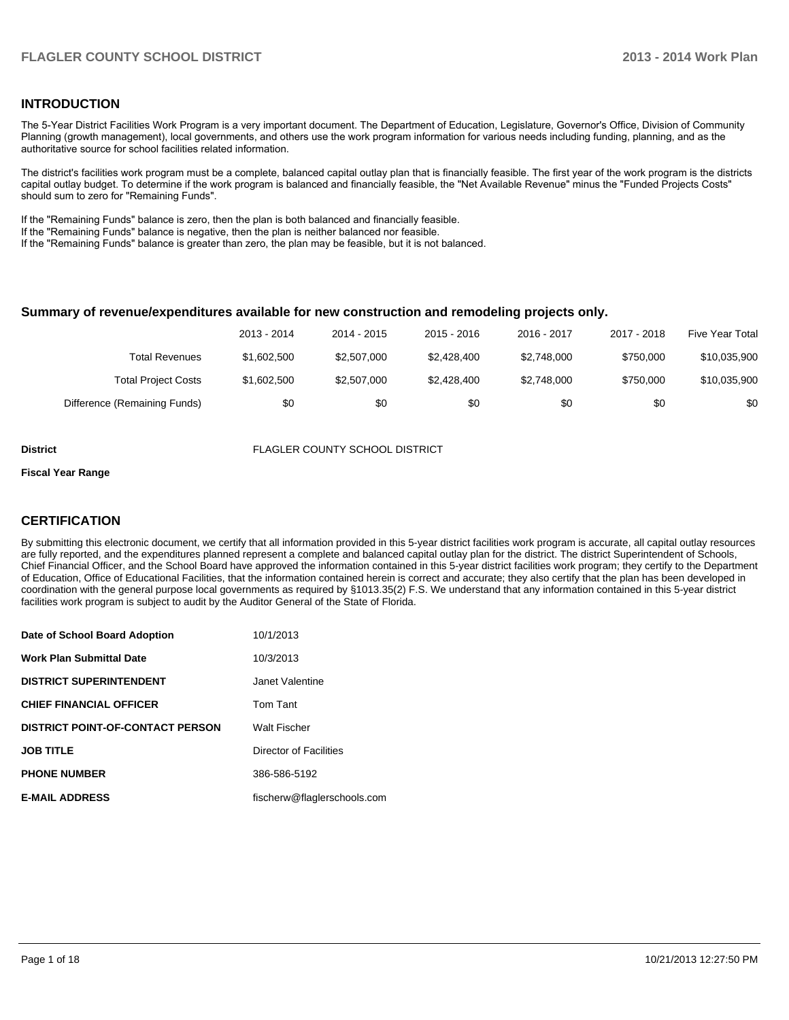### **INTRODUCTION**

The 5-Year District Facilities Work Program is a very important document. The Department of Education, Legislature, Governor's Office, Division of Community Planning (growth management), local governments, and others use the work program information for various needs including funding, planning, and as the authoritative source for school facilities related information.

The district's facilities work program must be a complete, balanced capital outlay plan that is financially feasible. The first year of the work program is the districts capital outlay budget. To determine if the work program is balanced and financially feasible, the "Net Available Revenue" minus the "Funded Projects Costs" should sum to zero for "Remaining Funds".

If the "Remaining Funds" balance is zero, then the plan is both balanced and financially feasible.

If the "Remaining Funds" balance is negative, then the plan is neither balanced nor feasible.

If the "Remaining Funds" balance is greater than zero, the plan may be feasible, but it is not balanced.

#### **Summary of revenue/expenditures available for new construction and remodeling projects only.**

|                              | 2013 - 2014 | 2014 - 2015 | 2015 - 2016 | 2016 - 2017 | 2017 - 2018 | <b>Five Year Total</b> |
|------------------------------|-------------|-------------|-------------|-------------|-------------|------------------------|
| Total Revenues               | \$1,602,500 | \$2,507,000 | \$2,428,400 | \$2.748.000 | \$750,000   | \$10,035,900           |
| <b>Total Project Costs</b>   | \$1,602,500 | \$2,507,000 | \$2,428,400 | \$2,748,000 | \$750,000   | \$10,035,900           |
| Difference (Remaining Funds) | \$0         | \$0         | \$0         | \$0         | \$0         | \$0                    |

**District** FLAGLER COUNTY SCHOOL DISTRICT

#### **Fiscal Year Range**

### **CERTIFICATION**

By submitting this electronic document, we certify that all information provided in this 5-year district facilities work program is accurate, all capital outlay resources are fully reported, and the expenditures planned represent a complete and balanced capital outlay plan for the district. The district Superintendent of Schools, Chief Financial Officer, and the School Board have approved the information contained in this 5-year district facilities work program; they certify to the Department of Education, Office of Educational Facilities, that the information contained herein is correct and accurate; they also certify that the plan has been developed in coordination with the general purpose local governments as required by §1013.35(2) F.S. We understand that any information contained in this 5-year district facilities work program is subject to audit by the Auditor General of the State of Florida.

| Date of School Board Adoption           | 10/1/2013                   |
|-----------------------------------------|-----------------------------|
| <b>Work Plan Submittal Date</b>         | 10/3/2013                   |
| <b>DISTRICT SUPERINTENDENT</b>          | Janet Valentine             |
| <b>CHIEF FINANCIAL OFFICER</b>          | Tom Tant                    |
| <b>DISTRICT POINT-OF-CONTACT PERSON</b> | <b>Walt Fischer</b>         |
| <b>JOB TITLE</b>                        | Director of Facilities      |
| <b>PHONE NUMBER</b>                     | 386-586-5192                |
| <b>E-MAIL ADDRESS</b>                   | fischerw@flaglerschools.com |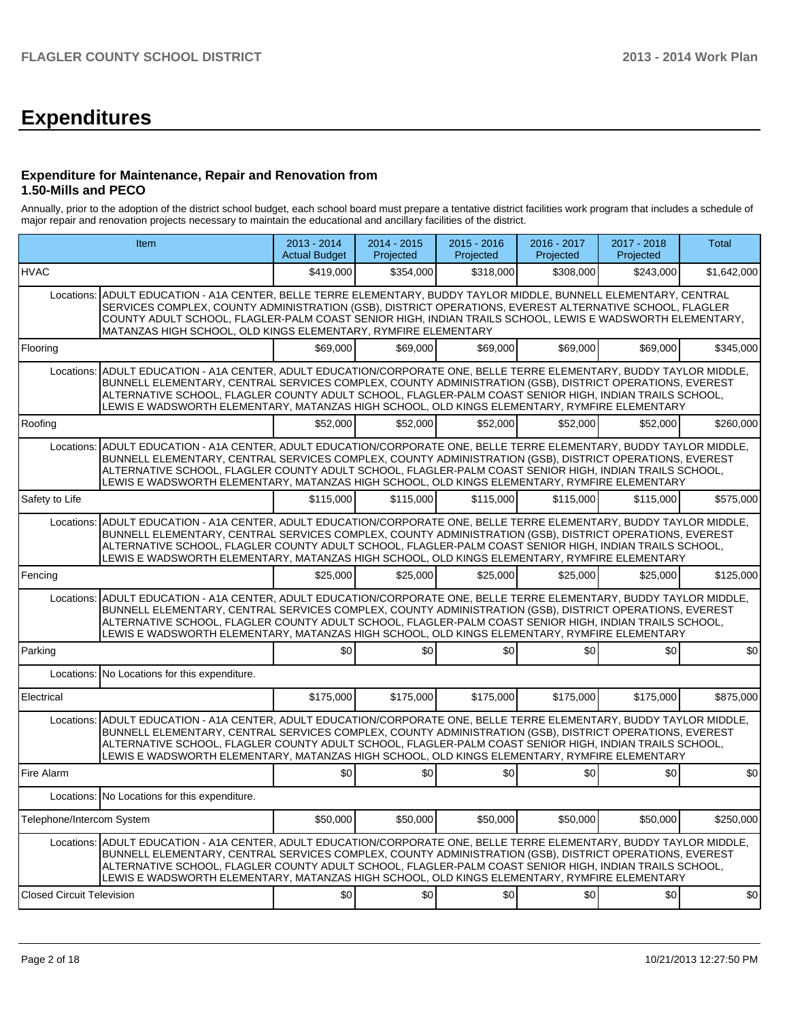# **Expenditures**

### **Expenditure for Maintenance, Repair and Renovation from 1.50-Mills and PECO**

Annually, prior to the adoption of the district school budget, each school board must prepare a tentative district facilities work program that includes a schedule of major repair and renovation projects necessary to maintain the educational and ancillary facilities of the district.

|                                  | Item                                                                                                                                                                                                                                                                                                                                                                                                                                       |                  | 2014 - 2015<br>Projected | $2015 - 2016$<br>Projected | 2016 - 2017<br>Projected | 2017 - 2018<br>Projected | <b>Total</b> |  |  |  |  |
|----------------------------------|--------------------------------------------------------------------------------------------------------------------------------------------------------------------------------------------------------------------------------------------------------------------------------------------------------------------------------------------------------------------------------------------------------------------------------------------|------------------|--------------------------|----------------------------|--------------------------|--------------------------|--------------|--|--|--|--|
| <b>HVAC</b>                      |                                                                                                                                                                                                                                                                                                                                                                                                                                            | \$419,000        | \$354,000                | \$318,000                  | \$308,000                | \$243,000                | \$1,642,000  |  |  |  |  |
|                                  | ADULT EDUCATION - A1A CENTER, BELLE TERRE ELEMENTARY, BUDDY TAYLOR MIDDLE, BUNNELL ELEMENTARY, CENTRAL<br>Locations:<br>SERVICES COMPLEX, COUNTY ADMINISTRATION (GSB), DISTRICT OPERATIONS, EVEREST ALTERNATIVE SCHOOL, FLAGLER<br>COUNTY ADULT SCHOOL, FLAGLER-PALM COAST SENIOR HIGH, INDIAN TRAILS SCHOOL, LEWIS E WADSWORTH ELEMENTARY,<br>MATANZAS HIGH SCHOOL, OLD KINGS ELEMENTARY, RYMFIRE ELEMENTARY                              |                  |                          |                            |                          |                          |              |  |  |  |  |
| Flooring                         |                                                                                                                                                                                                                                                                                                                                                                                                                                            | \$69,000         | \$69,000                 | \$69,000                   | \$69,000                 | \$69,000                 | \$345,000    |  |  |  |  |
|                                  | Locations: ADULT EDUCATION - A1A CENTER, ADULT EDUCATION/CORPORATE ONE, BELLE TERRE ELEMENTARY, BUDDY TAYLOR MIDDLE,<br>BUNNELL ELEMENTARY, CENTRAL SERVICES COMPLEX, COUNTY ADMINISTRATION (GSB), DISTRICT OPERATIONS, EVEREST<br>IALTERNATIVE SCHOOL. FLAGLER COUNTY ADULT SCHOOL. FLAGLER-PALM COAST SENIOR HIGH. INDIAN TRAILS SCHOOL.<br>LEWIS E WADSWORTH ELEMENTARY, MATANZAS HIGH SCHOOL, OLD KINGS ELEMENTARY, RYMFIRE ELEMENTARY |                  |                          |                            |                          |                          |              |  |  |  |  |
| Roofing                          |                                                                                                                                                                                                                                                                                                                                                                                                                                            | \$52,000         | \$52,000                 | \$52.000                   | \$52,000                 | \$52,000                 | \$260.000    |  |  |  |  |
|                                  | Locations: ADULT EDUCATION - A1A CENTER, ADULT EDUCATION/CORPORATE ONE, BELLE TERRE ELEMENTARY, BUDDY TAYLOR MIDDLE,<br>BUNNELL ELEMENTARY, CENTRAL SERVICES COMPLEX, COUNTY ADMINISTRATION (GSB), DISTRICT OPERATIONS, EVEREST<br>ALTERNATIVE SCHOOL, FLAGLER COUNTY ADULT SCHOOL, FLAGLER-PALM COAST SENIOR HIGH, INDIAN TRAILS SCHOOL,<br>LEWIS E WADSWORTH ELEMENTARY, MATANZAS HIGH SCHOOL, OLD KINGS ELEMENTARY, RYMFIRE ELEMENTARY  |                  |                          |                            |                          |                          |              |  |  |  |  |
| Safety to Life                   |                                                                                                                                                                                                                                                                                                                                                                                                                                            | \$115,000        | \$115,000                | \$115,000                  | \$115,000                | \$115,000                | \$575,000    |  |  |  |  |
| Locations:                       | ADULT EDUCATION - A1A CENTER, ADULT EDUCATION/CORPORATE ONE, BELLE TERRE ELEMENTARY, BUDDY TAYLOR MIDDLE,<br>BUNNELL ELEMENTARY, CENTRAL SERVICES COMPLEX, COUNTY ADMINISTRATION (GSB), DISTRICT OPERATIONS, EVEREST<br>ALTERNATIVE SCHOOL, FLAGLER COUNTY ADULT SCHOOL, FLAGLER-PALM COAST SENIOR HIGH, INDIAN TRAILS SCHOOL,<br>LEWIS E WADSWORTH ELEMENTARY, MATANZAS HIGH SCHOOL, OLD KINGS ELEMENTARY, RYMFIRE ELEMENTARY             |                  |                          |                            |                          |                          |              |  |  |  |  |
| Fencing                          |                                                                                                                                                                                                                                                                                                                                                                                                                                            | \$25,000         | \$25,000                 | \$25,000                   | \$25,000                 | \$25,000                 | \$125,000    |  |  |  |  |
|                                  | Locations: ADULT EDUCATION - A1A CENTER, ADULT EDUCATION/CORPORATE ONE, BELLE TERRE ELEMENTARY, BUDDY TAYLOR MIDDLE,<br>BUNNELL ELEMENTARY, CENTRAL SERVICES COMPLEX, COUNTY ADMINISTRATION (GSB), DISTRICT OPERATIONS, EVEREST<br>ALTERNATIVE SCHOOL, FLAGLER COUNTY ADULT SCHOOL, FLAGLER-PALM COAST SENIOR HIGH, INDIAN TRAILS SCHOOL,<br>LEWIS E WADSWORTH ELEMENTARY, MATANZAS HIGH SCHOOL, OLD KINGS ELEMENTARY, RYMFIRE ELEMENTARY  |                  |                          |                            |                          |                          |              |  |  |  |  |
| Parking                          |                                                                                                                                                                                                                                                                                                                                                                                                                                            | \$0 <sub>1</sub> | \$0                      | \$0                        | \$0                      | \$0                      | \$0          |  |  |  |  |
|                                  | Locations: No Locations for this expenditure.                                                                                                                                                                                                                                                                                                                                                                                              |                  |                          |                            |                          |                          |              |  |  |  |  |
| Electrical                       |                                                                                                                                                                                                                                                                                                                                                                                                                                            | \$175,000        | \$175,000                | \$175,000                  | \$175,000                | \$175,000                | \$875,000    |  |  |  |  |
|                                  | Locations: ADULT EDUCATION - A1A CENTER, ADULT EDUCATION/CORPORATE ONE, BELLE TERRE ELEMENTARY, BUDDY TAYLOR MIDDLE,<br>BUNNELL ELEMENTARY. CENTRAL SERVICES COMPLEX. COUNTY ADMINISTRATION (GSB). DISTRICT OPERATIONS. EVEREST<br>ALTERNATIVE SCHOOL, FLAGLER COUNTY ADULT SCHOOL, FLAGLER-PALM COAST SENIOR HIGH, INDIAN TRAILS SCHOOL,<br>LEWIS E WADSWORTH ELEMENTARY, MATANZAS HIGH SCHOOL, OLD KINGS ELEMENTARY, RYMFIRE ELEMENTARY  |                  |                          |                            |                          |                          |              |  |  |  |  |
| Fire Alarm                       |                                                                                                                                                                                                                                                                                                                                                                                                                                            | \$0              | \$0                      | \$0                        | \$0                      | \$0                      | \$0          |  |  |  |  |
|                                  | Locations: No Locations for this expenditure.                                                                                                                                                                                                                                                                                                                                                                                              |                  |                          |                            |                          |                          |              |  |  |  |  |
| Telephone/Intercom System        |                                                                                                                                                                                                                                                                                                                                                                                                                                            | \$50,000         | \$50,000                 | \$50,000                   | \$50,000                 | \$50,000                 | \$250,000    |  |  |  |  |
|                                  | Locations: ADULT EDUCATION - A1A CENTER, ADULT EDUCATION/CORPORATE ONE, BELLE TERRE ELEMENTARY, BUDDY TAYLOR MIDDLE,<br>BUNNELL ELEMENTARY, CENTRAL SERVICES COMPLEX, COUNTY ADMINISTRATION (GSB), DISTRICT OPERATIONS, EVEREST<br>ALTERNATIVE SCHOOL, FLAGLER COUNTY ADULT SCHOOL, FLAGLER-PALM COAST SENIOR HIGH, INDIAN TRAILS SCHOOL,<br>LEWIS E WADSWORTH ELEMENTARY, MATANZAS HIGH SCHOOL, OLD KINGS ELEMENTARY, RYMFIRE ELEMENTARY  |                  |                          |                            |                          |                          |              |  |  |  |  |
| <b>Closed Circuit Television</b> |                                                                                                                                                                                                                                                                                                                                                                                                                                            | \$0              | \$0                      | \$0                        | \$0                      | \$0                      | \$0          |  |  |  |  |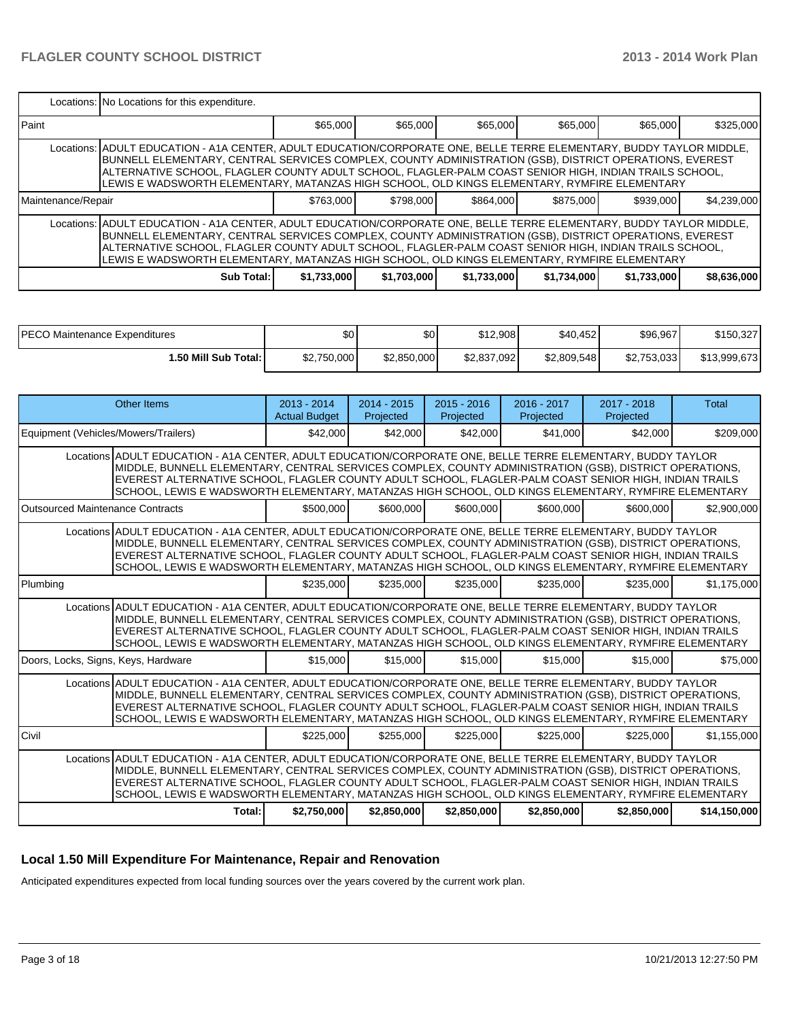|                    | Locations: No Locations for this expenditure.                                                                                                                                                                                                                                                                                                                                                                                                |             |             |             |             |             |             |
|--------------------|----------------------------------------------------------------------------------------------------------------------------------------------------------------------------------------------------------------------------------------------------------------------------------------------------------------------------------------------------------------------------------------------------------------------------------------------|-------------|-------------|-------------|-------------|-------------|-------------|
| <b>I</b> Paint     |                                                                                                                                                                                                                                                                                                                                                                                                                                              | \$65,000    | \$65,000    | \$65,000    | \$65,000    | \$65,000    | \$325,000   |
|                    | Locations:   ADULT EDUCATION - A1A CENTER, ADULT EDUCATION/CORPORATE ONE, BELLE TERRE ELEMENTARY, BUDDY TAYLOR MIDDLE,<br>IBUNNELL ELEMENTARY, CENTRAL SERVICES COMPLEX, COUNTY ADMINISTRATION (GSB), DISTRICT OPERATIONS, EVEREST<br>ALTERNATIVE SCHOOL, FLAGLER COUNTY ADULT SCHOOL, FLAGLER-PALM COAST SENIOR HIGH, INDIAN TRAILS SCHOOL,<br>LEWIS E WADSWORTH ELEMENTARY, MATANZAS HIGH SCHOOL, OLD KINGS ELEMENTARY, RYMFIRE ELEMENTARY |             |             |             |             |             |             |
| Maintenance/Repair |                                                                                                                                                                                                                                                                                                                                                                                                                                              | \$763,000   | \$798,000   | \$864,000   | \$875,000   | \$939,000   | \$4,239,000 |
|                    | Locations:   ADULT EDUCATION - A1A CENTER, ADULT EDUCATION/CORPORATE ONE, BELLE TERRE ELEMENTARY, BUDDY TAYLOR MIDDLE,<br>IBUNNELL ELEMENTARY, CENTRAL SERVICES COMPLEX, COUNTY ADMINISTRATION (GSB), DISTRICT OPERATIONS, EVEREST<br>ALTERNATIVE SCHOOL, FLAGLER COUNTY ADULT SCHOOL, FLAGLER-PALM COAST SENIOR HIGH, INDIAN TRAILS SCHOOL,<br>LEWIS E WADSWORTH ELEMENTARY, MATANZAS HIGH SCHOOL, OLD KINGS ELEMENTARY, RYMFIRE ELEMENTARY |             |             |             |             |             |             |
|                    | Sub Total:                                                                                                                                                                                                                                                                                                                                                                                                                                   | \$1,733,000 | \$1,703,000 | \$1,733,000 | \$1,734,000 | \$1,733,000 | \$8,636,000 |

| IPECO Maintenance Expenditures | \$0         | \$0         | \$12,908    | \$40,452    | \$96,967    | \$150,327    |
|--------------------------------|-------------|-------------|-------------|-------------|-------------|--------------|
| <b>⊥.50 Mill Sub Total: I</b>  | \$2,750,000 | \$2.850,000 | \$2,837,092 | \$2,809,548 | \$2,753,033 | \$13,999,673 |

|                                         | Other Items                                                                                                                                                                                                                                                                                                                                                                                                                              | $2013 - 2014$<br><b>Actual Budget</b> | $2014 - 2015$<br>Projected | $2015 - 2016$<br>Projected | $2016 - 2017$<br>Projected | 2017 - 2018<br>Projected | Total        |
|-----------------------------------------|------------------------------------------------------------------------------------------------------------------------------------------------------------------------------------------------------------------------------------------------------------------------------------------------------------------------------------------------------------------------------------------------------------------------------------------|---------------------------------------|----------------------------|----------------------------|----------------------------|--------------------------|--------------|
| Equipment (Vehicles/Mowers/Trailers)    |                                                                                                                                                                                                                                                                                                                                                                                                                                          | \$42,000                              | \$42,000                   | \$42,000                   | \$41,000                   | \$42,000                 | \$209,000    |
|                                         | Locations ADULT EDUCATION - A1A CENTER, ADULT EDUCATION/CORPORATE ONE, BELLE TERRE ELEMENTARY, BUDDY TAYLOR<br>MIDDLE, BUNNELL ELEMENTARY, CENTRAL SERVICES COMPLEX, COUNTY ADMINISTRATION (GSB), DISTRICT OPERATIONS,<br>EVEREST ALTERNATIVE SCHOOL, FLAGLER COUNTY ADULT SCHOOL, FLAGLER-PALM COAST SENIOR HIGH, INDIAN TRAILS<br>SCHOOL, LEWIS E WADSWORTH ELEMENTARY, MATANZAS HIGH SCHOOL, OLD KINGS ELEMENTARY, RYMFIRE ELEMENTARY |                                       |                            |                            |                            |                          |              |
| <b>Outsourced Maintenance Contracts</b> |                                                                                                                                                                                                                                                                                                                                                                                                                                          | \$500,000                             | \$600,000                  | \$600,000                  | \$600,000                  | \$600,000                | \$2,900,000  |
|                                         | Locations ADULT EDUCATION - A1A CENTER, ADULT EDUCATION/CORPORATE ONE, BELLE TERRE ELEMENTARY, BUDDY TAYLOR<br>MIDDLE, BUNNELL ELEMENTARY, CENTRAL SERVICES COMPLEX, COUNTY ADMINISTRATION (GSB), DISTRICT OPERATIONS,<br>EVEREST ALTERNATIVE SCHOOL, FLAGLER COUNTY ADULT SCHOOL, FLAGLER-PALM COAST SENIOR HIGH, INDIAN TRAILS<br>SCHOOL, LEWIS E WADSWORTH ELEMENTARY, MATANZAS HIGH SCHOOL, OLD KINGS ELEMENTARY, RYMFIRE ELEMENTARY |                                       |                            |                            |                            |                          |              |
| Plumbing                                |                                                                                                                                                                                                                                                                                                                                                                                                                                          | \$235,000                             | \$235,000                  | \$235,000                  | \$235,000                  | \$235,000                | \$1,175,000  |
|                                         | Locations ADULT EDUCATION - A1A CENTER. ADULT EDUCATION/CORPORATE ONE. BELLE TERRE ELEMENTARY. BUDDY TAYLOR<br>MIDDLE, BUNNELL ELEMENTARY, CENTRAL SERVICES COMPLEX, COUNTY ADMINISTRATION (GSB), DISTRICT OPERATIONS,<br>EVEREST ALTERNATIVE SCHOOL, FLAGLER COUNTY ADULT SCHOOL, FLAGLER-PALM COAST SENIOR HIGH, INDIAN TRAILS<br>SCHOOL, LEWIS E WADSWORTH ELEMENTARY, MATANZAS HIGH SCHOOL, OLD KINGS ELEMENTARY, RYMFIRE ELEMENTARY |                                       |                            |                            |                            |                          |              |
| Doors, Locks, Signs, Keys, Hardware     |                                                                                                                                                                                                                                                                                                                                                                                                                                          | \$15,000                              | \$15,000                   | \$15,000                   | \$15,000                   | \$15,000                 | \$75,000     |
|                                         | Locations ADULT EDUCATION - A1A CENTER. ADULT EDUCATION/CORPORATE ONE. BELLE TERRE ELEMENTARY. BUDDY TAYLOR<br>MIDDLE, BUNNELL ELEMENTARY, CENTRAL SERVICES COMPLEX, COUNTY ADMINISTRATION (GSB), DISTRICT OPERATIONS,<br>EVEREST ALTERNATIVE SCHOOL, FLAGLER COUNTY ADULT SCHOOL, FLAGLER-PALM COAST SENIOR HIGH, INDIAN TRAILS<br>SCHOOL, LEWIS E WADSWORTH ELEMENTARY, MATANZAS HIGH SCHOOL, OLD KINGS ELEMENTARY, RYMFIRE ELEMENTARY |                                       |                            |                            |                            |                          |              |
| Civil                                   |                                                                                                                                                                                                                                                                                                                                                                                                                                          | \$225,000                             | \$255,000                  | \$225,000                  | \$225,000                  | \$225.000                | \$1,155,000  |
|                                         | Locations ADULT EDUCATION - A1A CENTER, ADULT EDUCATION/CORPORATE ONE, BELLE TERRE ELEMENTARY, BUDDY TAYLOR<br>MIDDLE, BUNNELL ELEMENTARY, CENTRAL SERVICES COMPLEX, COUNTY ADMINISTRATION (GSB), DISTRICT OPERATIONS,<br>EVEREST ALTERNATIVE SCHOOL, FLAGLER COUNTY ADULT SCHOOL, FLAGLER-PALM COAST SENIOR HIGH, INDIAN TRAILS<br>SCHOOL, LEWIS E WADSWORTH ELEMENTARY, MATANZAS HIGH SCHOOL, OLD KINGS ELEMENTARY, RYMFIRE ELEMENTARY |                                       |                            |                            |                            |                          |              |
|                                         | Total:                                                                                                                                                                                                                                                                                                                                                                                                                                   | \$2,750,000                           | \$2,850,000                | \$2,850,000                | \$2,850,000                | \$2,850,000              | \$14,150,000 |

## **Local 1.50 Mill Expenditure For Maintenance, Repair and Renovation**

Anticipated expenditures expected from local funding sources over the years covered by the current work plan.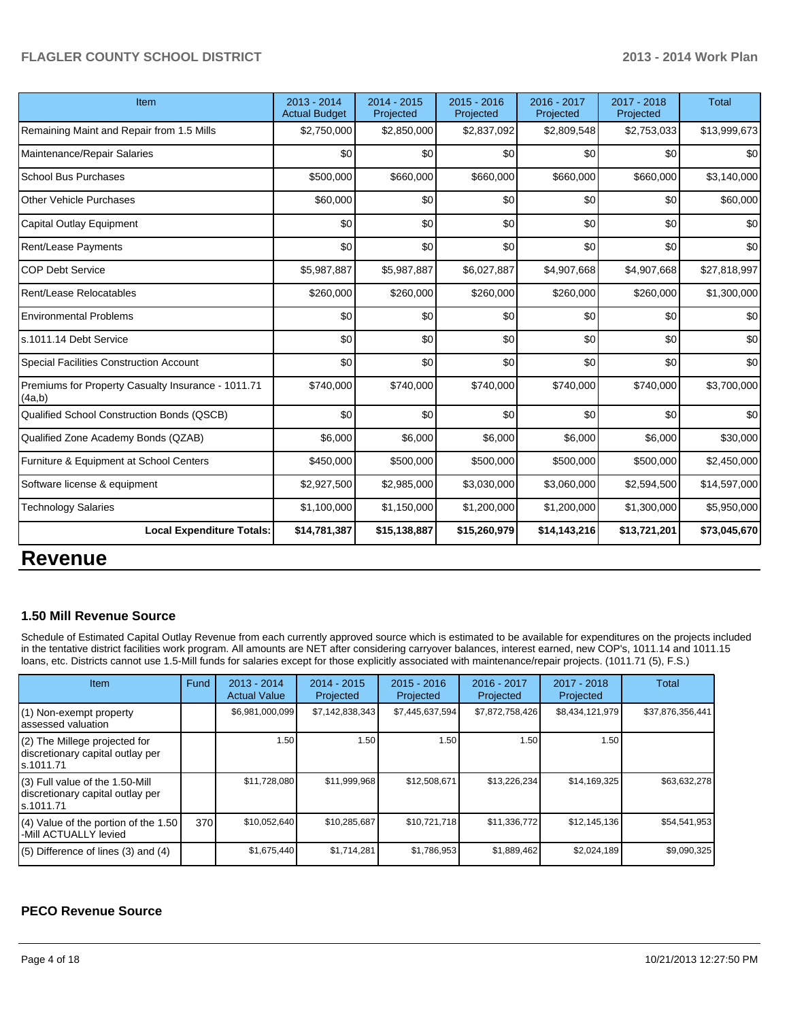| Item                                                         | 2013 - 2014<br><b>Actual Budget</b> | $2014 - 2015$<br>Projected | 2015 - 2016<br>Projected | 2016 - 2017<br>Projected | 2017 - 2018<br>Projected | <b>Total</b> |
|--------------------------------------------------------------|-------------------------------------|----------------------------|--------------------------|--------------------------|--------------------------|--------------|
| Remaining Maint and Repair from 1.5 Mills                    | \$2,750,000                         | \$2,850,000                | \$2,837,092              | \$2,809,548              | \$2,753,033              | \$13,999,673 |
| Maintenance/Repair Salaries                                  | SO <sub>2</sub>                     | \$0                        | \$0                      | \$0                      | \$0                      | \$0          |
| <b>School Bus Purchases</b>                                  | \$500,000                           | \$660,000                  | \$660,000                | \$660,000                | \$660,000                | \$3,140,000  |
| Other Vehicle Purchases                                      | \$60,000                            | \$0                        | \$0                      | \$0                      | \$0                      | \$60,000     |
| Capital Outlay Equipment                                     | \$0                                 | \$0                        | \$0                      | \$0                      | \$0                      | \$0          |
| Rent/Lease Payments                                          | \$0                                 | \$0                        | \$0                      | \$0                      | \$0                      | \$0          |
| <b>COP Debt Service</b>                                      | \$5,987,887                         | \$5,987,887                | \$6,027,887              | \$4,907,668              | \$4,907,668              | \$27,818,997 |
| Rent/Lease Relocatables                                      | \$260,000                           | \$260,000                  | \$260,000                | \$260,000                | \$260,000                | \$1,300,000  |
| <b>Environmental Problems</b>                                | \$0                                 | \$0                        | \$0                      | \$0                      | \$0                      | \$0          |
| s.1011.14 Debt Service                                       | \$0                                 | \$0                        | \$0                      | \$0                      | \$0                      | \$0          |
| <b>Special Facilities Construction Account</b>               | \$0                                 | \$0                        | \$0                      | \$0                      | \$0                      | \$0          |
| Premiums for Property Casualty Insurance - 1011.71<br>(4a,b) | \$740,000                           | \$740,000                  | \$740,000                | \$740,000                | \$740,000                | \$3,700,000  |
| Qualified School Construction Bonds (QSCB)                   | \$0                                 | \$0                        | \$0                      | \$0                      | \$0                      | \$0          |
| Qualified Zone Academy Bonds (QZAB)                          | \$6,000                             | \$6,000                    | \$6,000                  | \$6,000                  | \$6,000                  | \$30,000     |
| Furniture & Equipment at School Centers                      | \$450,000                           | \$500,000                  | \$500,000                | \$500,000                | \$500,000                | \$2,450,000  |
| Software license & equipment                                 | \$2,927,500                         | \$2,985,000                | \$3,030,000              | \$3,060,000              | \$2,594,500              | \$14,597,000 |
| <b>Technology Salaries</b>                                   | \$1,100,000                         | \$1,150,000                | \$1,200,000              | \$1,200,000              | \$1,300,000              | \$5,950,000  |
| <b>Local Expenditure Totals:</b>                             | \$14,781,387                        | \$15,138,887               | \$15,260,979             | \$14,143,216             | \$13,721,201             | \$73,045,670 |

# **Revenue**

### **1.50 Mill Revenue Source**

Schedule of Estimated Capital Outlay Revenue from each currently approved source which is estimated to be available for expenditures on the projects included in the tentative district facilities work program. All amounts are NET after considering carryover balances, interest earned, new COP's, 1011.14 and 1011.15 loans, etc. Districts cannot use 1.5-Mill funds for salaries except for those explicitly associated with maintenance/repair projects. (1011.71 (5), F.S.)

| <b>Item</b>                                                                         | Fund | $2013 - 2014$<br><b>Actual Value</b> | $2014 - 2015$<br>Projected | $2015 - 2016$<br>Projected | 2016 - 2017<br>Projected | 2017 - 2018<br>Projected | Total            |
|-------------------------------------------------------------------------------------|------|--------------------------------------|----------------------------|----------------------------|--------------------------|--------------------------|------------------|
| (1) Non-exempt property<br>lassessed valuation                                      |      | \$6,981,000,099                      | \$7,142,838,343            | \$7,445,637,594            | \$7,872,758,426          | \$8,434,121,979          | \$37,876,356,441 |
| $(2)$ The Millege projected for<br>discretionary capital outlay per<br>ls.1011.71   |      | 1.50                                 | 1.50 l                     | 1.50                       | 1.50                     | 1.50                     |                  |
| $(3)$ Full value of the 1.50-Mill<br>discretionary capital outlay per<br>ls.1011.71 |      | \$11,728,080                         | \$11,999,968               | \$12,508,671               | \$13,226,234             | \$14,169,325             | \$63,632,278     |
| $(4)$ Value of the portion of the 1.50<br>-Mill ACTUALLY levied                     | 370  | \$10,052,640                         | \$10,285,687               | \$10,721,718               | \$11,336,772             | \$12,145,136             | \$54,541,953     |
| $(5)$ Difference of lines $(3)$ and $(4)$                                           |      | \$1,675,440                          | \$1,714,281                | \$1,786,953                | \$1,889,462              | \$2,024,189              | \$9,090,325      |

### **PECO Revenue Source**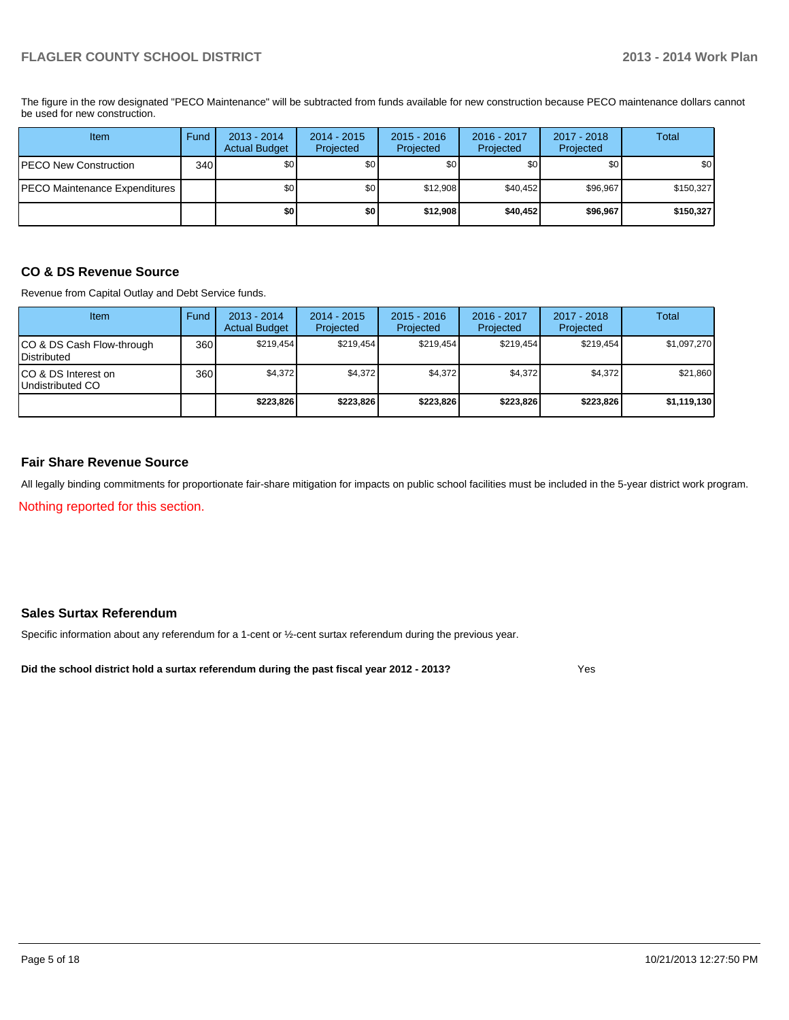The figure in the row designated "PECO Maintenance" will be subtracted from funds available for new construction because PECO maintenance dollars cannot be used for new construction.

| Item                          | Fund | $2013 - 2014$<br><b>Actual Budget</b> | $2014 - 2015$<br>Projected | $2015 - 2016$<br>Projected | 2016 - 2017<br>Projected | 2017 - 2018<br>Projected | <b>Total</b>     |
|-------------------------------|------|---------------------------------------|----------------------------|----------------------------|--------------------------|--------------------------|------------------|
| IPECO New Construction        | 340  | \$0                                   | \$0                        | \$0                        | \$OI                     | \$0                      | \$0 <sub>1</sub> |
| PECO Maintenance Expenditures |      | \$0 <sub>1</sub>                      | \$0 <sub>1</sub>           | \$12.908                   | \$40.452                 | \$96,967                 | \$150,327        |
|                               |      | \$0                                   | \$O                        | \$12,908                   | \$40.452                 | \$96,967                 | \$150,327        |

### **CO & DS Revenue Source**

Revenue from Capital Outlay and Debt Service funds.

| <b>Item</b>                                       | Fund | 2013 - 2014<br><b>Actual Budget</b> | $2014 - 2015$<br>Projected | $2015 - 2016$<br>Projected | $2016 - 2017$<br>Projected | $2017 - 2018$<br>Projected | Total       |
|---------------------------------------------------|------|-------------------------------------|----------------------------|----------------------------|----------------------------|----------------------------|-------------|
| CO & DS Cash Flow-through<br><b>I</b> Distributed | 360  | \$219.454                           | \$219.454                  | \$219.454                  | \$219.454                  | \$219.454                  | \$1,097,270 |
| ICO & DS Interest on<br>Undistributed CO          | 360  | \$4,372                             | \$4,372                    | \$4,372                    | \$4,372                    | \$4,372                    | \$21,860    |
|                                                   |      | \$223.826                           | \$223,826                  | \$223.826                  | \$223.826                  | \$223,826                  | \$1,119,130 |

### **Fair Share Revenue Source**

All legally binding commitments for proportionate fair-share mitigation for impacts on public school facilities must be included in the 5-year district work program.

Nothing reported for this section.

### **Sales Surtax Referendum**

Specific information about any referendum for a 1-cent or ½-cent surtax referendum during the previous year.

**Did the school district hold a surtax referendum during the past fiscal year 2012 - 2013?**

Yes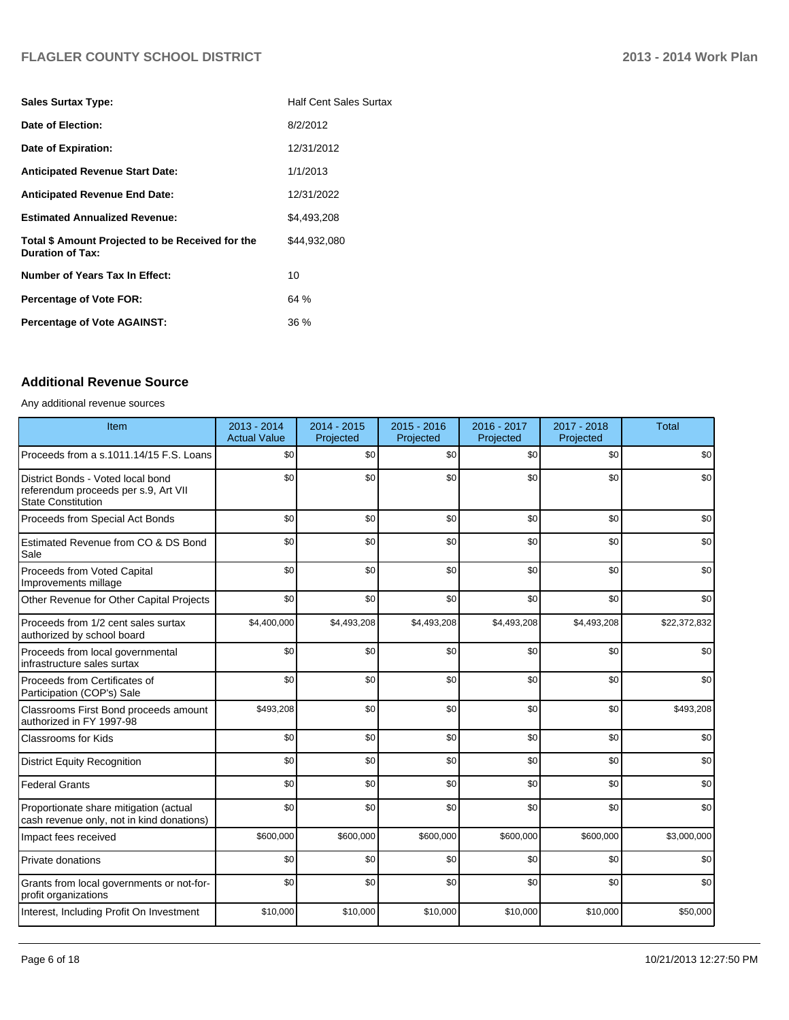| <b>Sales Surtax Type:</b>                                                   | <b>Half Cent Sales Surtax</b> |
|-----------------------------------------------------------------------------|-------------------------------|
| Date of Election:                                                           | 8/2/2012                      |
| Date of Expiration:                                                         | 12/31/2012                    |
| <b>Anticipated Revenue Start Date:</b>                                      | 1/1/2013                      |
| <b>Anticipated Revenue End Date:</b>                                        | 12/31/2022                    |
| <b>Estimated Annualized Revenue:</b>                                        | \$4.493.208                   |
| Total \$ Amount Projected to be Received for the<br><b>Duration of Tax:</b> | \$44.932.080                  |
| <b>Number of Years Tax In Effect:</b>                                       | 10                            |
| <b>Percentage of Vote FOR:</b>                                              | 64%                           |
| <b>Percentage of Vote AGAINST:</b>                                          | 36 %                          |

### **Additional Revenue Source**

#### Any additional revenue sources

| Item                                                                                                   | 2013 - 2014<br><b>Actual Value</b> | 2014 - 2015<br>Projected | $2015 - 2016$<br>Projected | 2016 - 2017<br>Projected | 2017 - 2018<br>Projected | <b>Total</b> |
|--------------------------------------------------------------------------------------------------------|------------------------------------|--------------------------|----------------------------|--------------------------|--------------------------|--------------|
| Proceeds from a s.1011.14/15 F.S. Loans                                                                | \$0                                | \$0                      | \$0                        | \$0                      | \$0                      | \$0          |
| District Bonds - Voted local bond<br>referendum proceeds per s.9, Art VII<br><b>State Constitution</b> | \$0                                | \$0                      | \$0                        | \$0                      | \$0                      | \$0          |
| Proceeds from Special Act Bonds                                                                        | \$0                                | \$0                      | \$0                        | \$0                      | \$0                      | \$0          |
| Estimated Revenue from CO & DS Bond<br>Sale                                                            | \$0                                | \$0                      | \$0                        | \$0                      | \$0                      | \$0          |
| Proceeds from Voted Capital<br>Improvements millage                                                    | \$0                                | \$0                      | \$0                        | \$0                      | \$0                      | \$0          |
| Other Revenue for Other Capital Projects                                                               | \$0                                | \$0                      | \$0                        | \$0                      | \$0                      | \$0          |
| Proceeds from 1/2 cent sales surtax<br>authorized by school board                                      | \$4,400,000                        | \$4,493,208              | \$4,493,208                | \$4,493,208              | \$4,493,208              | \$22,372,832 |
| Proceeds from local governmental<br>infrastructure sales surtax                                        | \$0                                | \$0                      | \$0                        | \$0                      | \$0                      | \$0          |
| Proceeds from Certificates of<br>Participation (COP's) Sale                                            | \$0                                | \$0                      | \$0                        | \$0                      | \$0                      | \$0          |
| Classrooms First Bond proceeds amount<br>authorized in FY 1997-98                                      | \$493,208                          | \$0                      | \$0                        | \$0                      | \$0                      | \$493,208    |
| <b>Classrooms for Kids</b>                                                                             | \$0                                | \$0                      | \$0                        | \$0                      | \$0                      | \$0          |
| <b>District Equity Recognition</b>                                                                     | \$0                                | \$0                      | \$0                        | \$0                      | \$0                      | \$0          |
| <b>Federal Grants</b>                                                                                  | \$0                                | \$0                      | \$0                        | \$0                      | \$0                      | \$0          |
| Proportionate share mitigation (actual<br>cash revenue only, not in kind donations)                    | \$0                                | \$0                      | \$0                        | \$0                      | \$0                      | \$0          |
| Impact fees received                                                                                   | \$600,000                          | \$600,000                | \$600,000                  | \$600,000                | \$600,000                | \$3,000,000  |
| <b>Private donations</b>                                                                               | \$0                                | \$0                      | \$0                        | \$0                      | \$0                      | \$0          |
| Grants from local governments or not-for-<br>profit organizations                                      | \$0                                | \$0                      | \$0                        | \$0                      | \$0                      | \$0          |
| Interest, Including Profit On Investment                                                               | \$10,000                           | \$10,000                 | \$10,000                   | \$10,000                 | \$10,000                 | \$50,000     |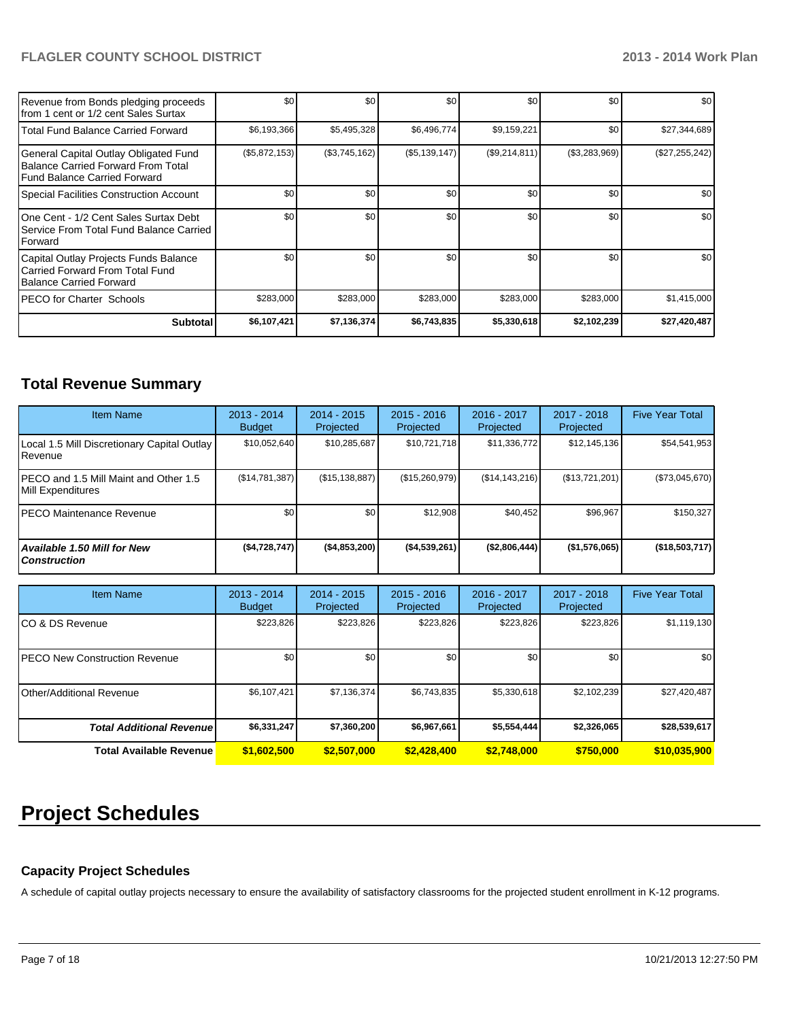| Revenue from Bonds pledging proceeds<br>Ifrom 1 cent or 1/2 cent Sales Surtax                                 | \$0           | \$0           | \$0           | \$0           | \$0           | \$0              |
|---------------------------------------------------------------------------------------------------------------|---------------|---------------|---------------|---------------|---------------|------------------|
| l Total Fund Balance Carried Forward                                                                          | \$6,193,366   | \$5,495,328   | \$6,496,774   | \$9,159,221   | \$0           | \$27,344,689     |
| General Capital Outlay Obligated Fund<br>Balance Carried Forward From Total<br>l Fund Balance Carried Forward | (\$5,872,153) | (\$3,745,162) | (\$5,139,147) | (\$9,214,811) | (\$3,283,969) | (\$27,255,242)   |
| Special Facilities Construction Account                                                                       | \$0           | \$0           | \$0           | \$0           | \$0           | \$0              |
| IOne Cent - 1/2 Cent Sales Surtax Debt<br>l Service From Total Fund Balance Carried<br>Forward                | \$0           | \$0           | \$0           | \$0           | \$0           | \$0              |
| Capital Outlay Projects Funds Balance<br>Carried Forward From Total Fund<br>Balance Carried Forward           | \$0           | \$0           | \$0           | \$0           | \$0           | \$0 <sub>1</sub> |
| IPECO for Charter Schools                                                                                     | \$283,000     | \$283,000     | \$283,000     | \$283,000     | \$283,000     | \$1,415,000      |
| Subtotal                                                                                                      | \$6,107,421   | \$7,136,374   | \$6,743,835   | \$5,330,618   | \$2,102,239   | \$27,420,487     |

## **Total Revenue Summary**

| <b>Item Name</b>                                                  | $2013 - 2014$<br><b>Budget</b> | $2014 - 2015$<br>Projected | $2015 - 2016$<br>Projected | $2016 - 2017$<br>Projected | $2017 - 2018$<br>Projected | <b>Five Year Total</b> |
|-------------------------------------------------------------------|--------------------------------|----------------------------|----------------------------|----------------------------|----------------------------|------------------------|
| Local 1.5 Mill Discretionary Capital Outlay  <br><b>I</b> Revenue | \$10,052,640                   | \$10.285.687               | \$10.721.718               | \$11,336,772               | \$12,145,136               | \$54,541,953           |
| IPECO and 1.5 Mill Maint and Other 1.5<br>Mill Expenditures       | (\$14,781,387)                 | (\$15, 138, 887)           | (\$15,260,979)             | $(\$14, 143, 216)$         | (\$13,721,201)             | (\$73,045,670)         |
| IPECO Maintenance Revenue                                         | \$0                            | \$0                        | \$12,908                   | \$40,452                   | \$96,967                   | \$150,327              |
| Available 1.50 Mill for New l<br>l Construction                   | ( \$4,728,747]                 | ( \$4,853,200)             | ( \$4,539,261)             | (\$2,806,444)              | (\$1,576,065)              | (\$18,503,717)         |

| <b>Item Name</b>                      | 2013 - 2014<br><b>Budget</b> | $2014 - 2015$<br>Projected | $2015 - 2016$<br>Projected | $2016 - 2017$<br>Projected | $2017 - 2018$<br>Projected | <b>Five Year Total</b> |
|---------------------------------------|------------------------------|----------------------------|----------------------------|----------------------------|----------------------------|------------------------|
| ICO & DS Revenue                      | \$223,826                    | \$223,826                  | \$223,826                  | \$223,826                  | \$223,826                  | \$1,119,130            |
| <b>IPECO New Construction Revenue</b> | \$0                          | \$0                        | \$0                        | \$0                        | \$0                        | \$0                    |
| IOther/Additional Revenue             | \$6,107,421                  | \$7.136.374                | \$6,743,835                | \$5,330,618                | \$2,102,239                | \$27,420,487           |
| <b>Total Additional Revenuel</b>      | \$6,331,247                  | \$7,360,200                | \$6,967,661                | \$5,554,444                | \$2,326,065                | \$28,539,617           |
| Total Available Revenue               | \$1,602,500                  | \$2,507,000                | \$2,428,400                | \$2,748,000                | \$750,000                  | \$10,035,900           |

# **Project Schedules**

### **Capacity Project Schedules**

A schedule of capital outlay projects necessary to ensure the availability of satisfactory classrooms for the projected student enrollment in K-12 programs.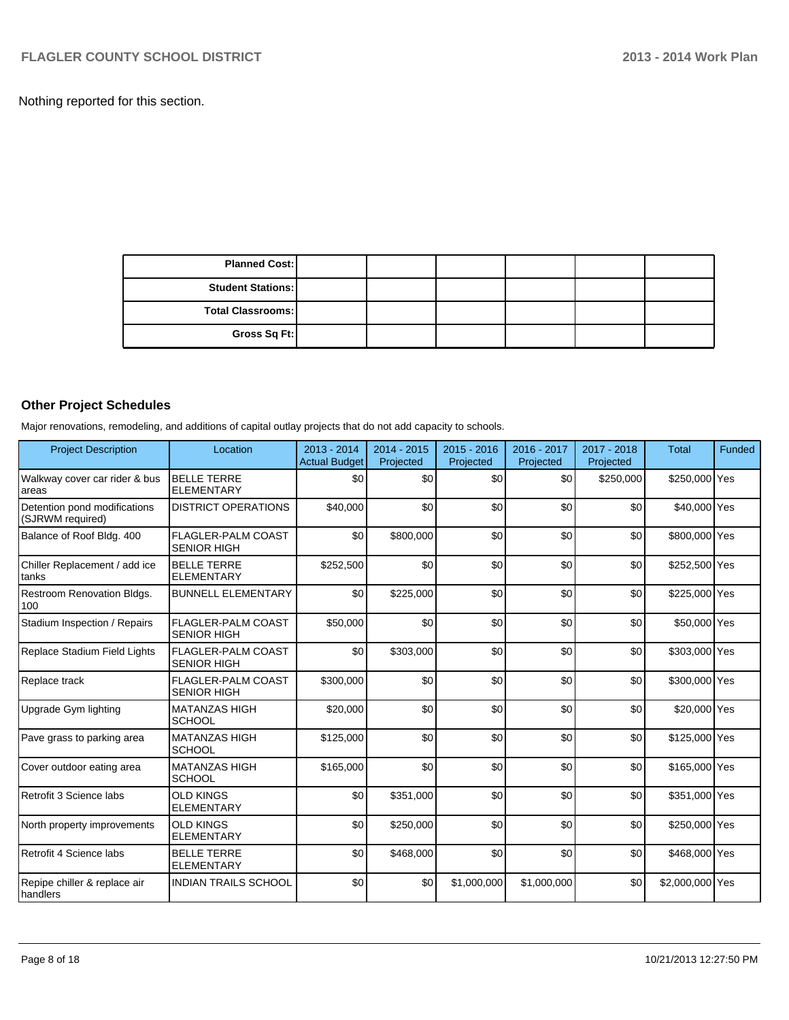Nothing reported for this section.

| <b>Planned Cost:</b>     |  |  |  |
|--------------------------|--|--|--|
| <b>Student Stations:</b> |  |  |  |
| <b>Total Classrooms:</b> |  |  |  |
| Gross Sq Ft:             |  |  |  |

## **Other Project Schedules**

Major renovations, remodeling, and additions of capital outlay projects that do not add capacity to schools.

| <b>Project Description</b>                        | Location                                        | $2013 - 2014$<br><b>Actual Budget</b> | $2014 - 2015$<br>Projected | $2015 - 2016$<br>Projected | 2016 - 2017<br>Projected | $2017 - 2018$<br>Projected | <b>Total</b>    | <b>Funded</b> |
|---------------------------------------------------|-------------------------------------------------|---------------------------------------|----------------------------|----------------------------|--------------------------|----------------------------|-----------------|---------------|
| Walkway cover car rider & bus<br>areas            | <b>BELLE TERRE</b><br><b>ELEMENTARY</b>         | \$0                                   | \$0                        | \$0                        | \$0                      | \$250,000                  | \$250,000 Yes   |               |
| Detention pond modifications<br>(SJRWM required)  | <b>DISTRICT OPERATIONS</b>                      | \$40,000                              | \$0                        | \$0                        | \$0                      | \$0                        | \$40,000 Yes    |               |
| Balance of Roof Bldg. 400                         | <b>FLAGLER-PALM COAST</b><br><b>SENIOR HIGH</b> | \$0                                   | \$800,000                  | \$0                        | \$0                      | \$0                        | \$800,000 Yes   |               |
| Chiller Replacement / add ice<br>tanks            | <b>BELLE TERRE</b><br><b>ELEMENTARY</b>         | \$252,500                             | \$0                        | \$0                        | \$0                      | \$0                        | \$252,500 Yes   |               |
| Restroom Renovation Bldgs.<br>100                 | <b>BUNNELL ELEMENTARY</b>                       | \$0                                   | \$225,000                  | \$0                        | \$0                      | \$0                        | \$225,000 Yes   |               |
| Stadium Inspection / Repairs                      | <b>FLAGLER-PALM COAST</b><br><b>SENIOR HIGH</b> | \$50,000                              | \$0                        | \$0                        | \$0                      | \$0                        | \$50,000 Yes    |               |
| Replace Stadium Field Lights                      | <b>FLAGLER-PALM COAST</b><br><b>SENIOR HIGH</b> | \$0                                   | \$303,000                  | \$0                        | \$0                      | \$0                        | \$303,000 Yes   |               |
| Replace track                                     | <b>FLAGLER-PALM COAST</b><br><b>SENIOR HIGH</b> | \$300,000                             | \$0                        | \$0                        | \$0                      | \$0                        | \$300,000 Yes   |               |
| Upgrade Gym lighting                              | <b>MATANZAS HIGH</b><br><b>SCHOOL</b>           | \$20,000                              | \$0                        | \$0                        | \$0                      | \$0                        | \$20,000 Yes    |               |
| Pave grass to parking area                        | <b>MATANZAS HIGH</b><br><b>SCHOOL</b>           | \$125,000                             | \$0                        | \$0                        | \$0                      | \$0                        | \$125,000 Yes   |               |
| Cover outdoor eating area                         | <b>MATANZAS HIGH</b><br><b>SCHOOL</b>           | \$165,000                             | \$0                        | \$0                        | \$0                      | \$0                        | \$165,000 Yes   |               |
| Retrofit 3 Science labs                           | <b>OLD KINGS</b><br><b>ELEMENTARY</b>           | \$0                                   | \$351,000                  | \$0                        | \$0                      | \$0                        | \$351,000 Yes   |               |
| North property improvements                       | <b>OLD KINGS</b><br><b>ELEMENTARY</b>           | \$0                                   | \$250,000                  | \$0                        | \$0                      | \$0                        | \$250,000 Yes   |               |
| Retrofit 4 Science labs                           | <b>BELLE TERRE</b><br><b>ELEMENTARY</b>         | \$0                                   | \$468,000                  | \$0                        | \$0                      | \$0                        | \$468,000 Yes   |               |
| Repipe chiller & replace air<br><b>I</b> handlers | <b>INDIAN TRAILS SCHOOL</b>                     | \$0                                   | \$0                        | \$1,000,000                | \$1,000,000              | \$0                        | \$2,000,000 Yes |               |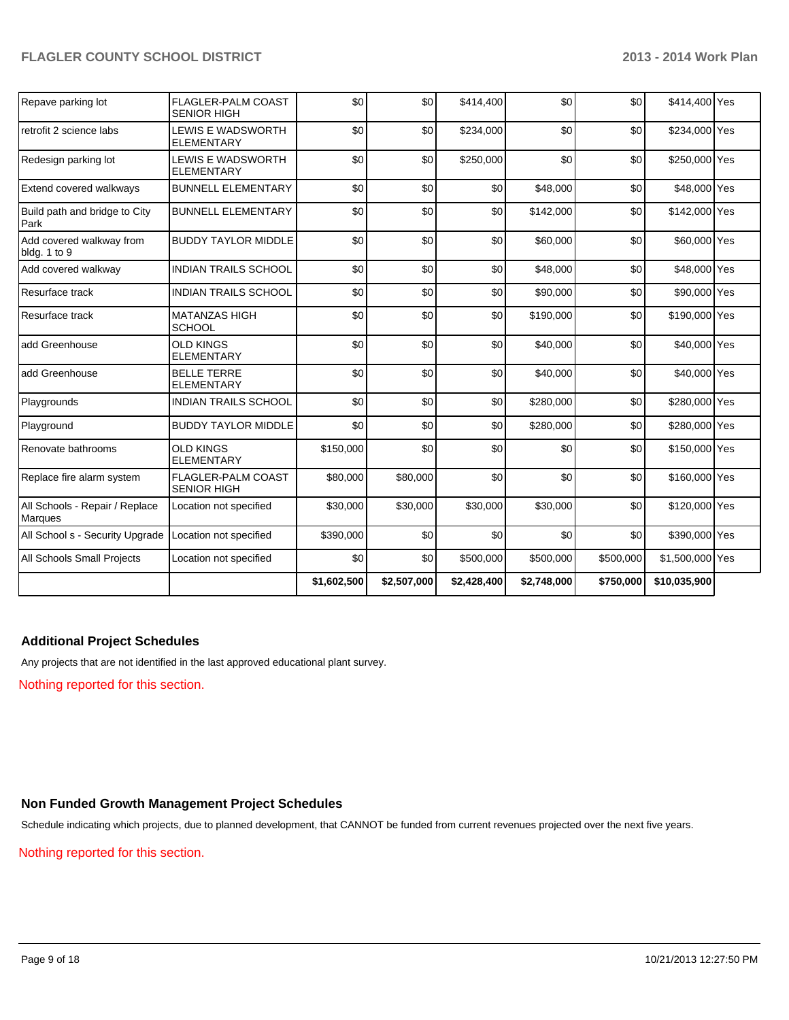| Repave parking lot                        | <b>FLAGLER-PALM COAST</b><br><b>SENIOR HIGH</b> | \$0         | \$0         | \$414,400   | \$0         | \$0       | \$414,400 Yes   |  |
|-------------------------------------------|-------------------------------------------------|-------------|-------------|-------------|-------------|-----------|-----------------|--|
| retrofit 2 science labs                   | <b>LEWIS E WADSWORTH</b><br><b>ELEMENTARY</b>   | \$0         | \$0         | \$234,000   | \$0         | \$0       | \$234,000 Yes   |  |
| Redesign parking lot                      | <b>LEWIS E WADSWORTH</b><br><b>ELEMENTARY</b>   | \$0         | \$0         | \$250,000   | \$0         | \$0       | \$250,000 Yes   |  |
| Extend covered walkways                   | <b>BUNNELL ELEMENTARY</b>                       | \$0         | \$0         | \$0         | \$48,000    | \$0       | \$48,000 Yes    |  |
| Build path and bridge to City<br>Park     | <b>BUNNELL ELEMENTARY</b>                       | \$0         | \$0         | \$0         | \$142,000   | \$0       | \$142,000 Yes   |  |
| Add covered walkway from<br>bldg. 1 to 9  | <b>BUDDY TAYLOR MIDDLE</b>                      | \$0         | \$0         | \$0         | \$60,000    | \$0       | \$60,000 Yes    |  |
| Add covered walkway                       | <b>INDIAN TRAILS SCHOOL</b>                     | \$0         | \$0         | \$0         | \$48,000    | \$0       | \$48,000 Yes    |  |
| Resurface track                           | <b>INDIAN TRAILS SCHOOL</b>                     | \$0         | \$0         | \$0         | \$90,000    | \$0       | \$90,000 Yes    |  |
| Resurface track                           | <b>MATANZAS HIGH</b><br><b>SCHOOL</b>           | \$0         | \$0         | \$0         | \$190,000   | \$0       | \$190,000 Yes   |  |
| add Greenhouse                            | <b>OLD KINGS</b><br><b>ELEMENTARY</b>           | \$0         | \$0         | \$0         | \$40,000    | \$0       | \$40,000 Yes    |  |
| add Greenhouse                            | <b>BELLE TERRE</b><br><b>ELEMENTARY</b>         | \$0         | \$0         | \$0         | \$40,000    | \$0       | \$40,000 Yes    |  |
| Playgrounds                               | <b>INDIAN TRAILS SCHOOL</b>                     | \$0         | \$0         | \$0         | \$280,000   | \$0       | \$280,000 Yes   |  |
| Playground                                | <b>BUDDY TAYLOR MIDDLE</b>                      | \$0         | \$0         | \$0         | \$280,000   | \$0       | \$280,000 Yes   |  |
| Renovate bathrooms                        | <b>OLD KINGS</b><br><b>ELEMENTARY</b>           | \$150,000   | \$0         | \$0         | \$0         | \$0       | \$150,000 Yes   |  |
| Replace fire alarm system                 | FLAGLER-PALM COAST<br><b>SENIOR HIGH</b>        | \$80,000    | \$80,000    | \$0         | \$0         | \$0       | \$160,000 Yes   |  |
| All Schools - Repair / Replace<br>Marques | Location not specified                          | \$30,000    | \$30,000    | \$30,000    | \$30,000    | \$0       | \$120,000 Yes   |  |
| All School s - Security Upgrade           | Location not specified                          | \$390,000   | \$0         | \$0         | \$0         | \$0       | \$390,000 Yes   |  |
| All Schools Small Projects                | Location not specified                          | \$0         | \$0         | \$500,000   | \$500,000   | \$500,000 | \$1,500,000 Yes |  |
|                                           |                                                 | \$1,602,500 | \$2,507,000 | \$2,428,400 | \$2,748,000 | \$750,000 | \$10,035,900    |  |

### **Additional Project Schedules**

Any projects that are not identified in the last approved educational plant survey.

Nothing reported for this section.

### **Non Funded Growth Management Project Schedules**

Schedule indicating which projects, due to planned development, that CANNOT be funded from current revenues projected over the next five years.

#### Nothing reported for this section.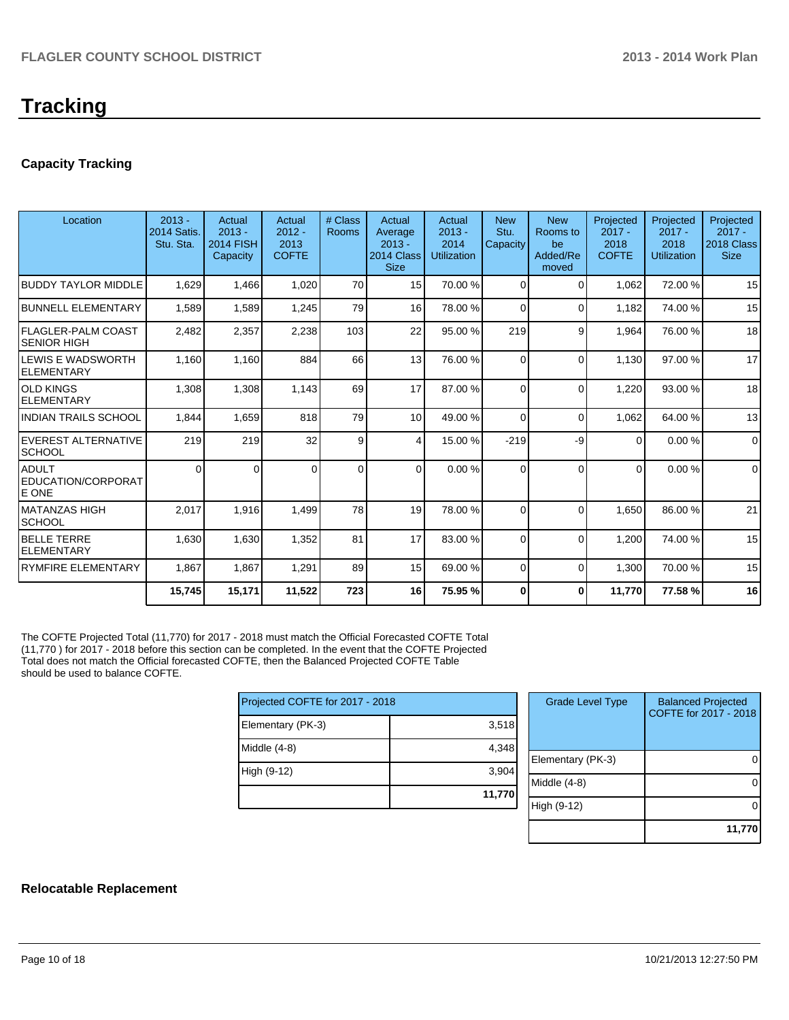# **Tracking**

### **Capacity Tracking**

| Location                                        | $2013 -$                        | Actual                                   | Actual                           | # Class      | Actual                                           | Actual                                 | <b>New</b>       | <b>New</b>                          | Projected                        | Projected                              | Projected                             |
|-------------------------------------------------|---------------------------------|------------------------------------------|----------------------------------|--------------|--------------------------------------------------|----------------------------------------|------------------|-------------------------------------|----------------------------------|----------------------------------------|---------------------------------------|
|                                                 | <b>2014 Satis.</b><br>Stu. Sta. | $2013 -$<br><b>2014 FISH</b><br>Capacity | $2012 -$<br>2013<br><b>COFTE</b> | <b>Rooms</b> | Average<br>$2013 -$<br>2014 Class<br><b>Size</b> | $2013 -$<br>2014<br><b>Utilization</b> | Stu.<br>Capacity | Rooms to<br>be<br>Added/Re<br>moved | $2017 -$<br>2018<br><b>COFTE</b> | $2017 -$<br>2018<br><b>Utilization</b> | $2017 -$<br>2018 Class<br><b>Size</b> |
| <b>BUDDY TAYLOR MIDDLE</b>                      | 1,629                           | 1,466                                    | 1,020                            | 70           | 15 <sup>1</sup>                                  | 70.00 %                                | 0                | 0                                   | 1,062                            | 72.00 %                                | 15                                    |
| <b>BUNNELL ELEMENTARY</b>                       | 1,589                           | 1,589                                    | 1,245                            | 79           | 16 <sup>1</sup>                                  | 78.00 %                                | $\Omega$         | $\Omega$                            | 1,182                            | 74.00%                                 | 15                                    |
| <b>FLAGLER-PALM COAST</b><br><b>SENIOR HIGH</b> | 2,482                           | 2,357                                    | 2,238                            | 103          | 22                                               | 95.00 %                                | 219              | 9                                   | 1,964                            | 76.00 %                                | 18                                    |
| LEWIS E WADSWORTH<br><b>ELEMENTARY</b>          | 1,160                           | 1,160                                    | 884                              | 66           | 13                                               | 76.00 %                                | $\Omega$         | $\Omega$                            | 1,130                            | 97.00 %                                | 17                                    |
| <b>OLD KINGS</b><br><b>ELEMENTARY</b>           | 1,308                           | 1,308                                    | 1,143                            | 69           | 17                                               | 87.00 %                                | $\Omega$         | $\Omega$                            | 1,220                            | 93.00 %                                | 18                                    |
| <b>INDIAN TRAILS SCHOOL</b>                     | 1,844                           | 1,659                                    | 818                              | 79           | 10 <sup>1</sup>                                  | 49.00 %                                | $\Omega$         | $\Omega$                            | 1,062                            | 64.00%                                 | 13                                    |
| EVEREST ALTERNATIVE<br><b>SCHOOL</b>            | 219                             | 219                                      | 32                               | 9            | 4                                                | 15.00 %                                | $-219$           | -9                                  | $\Omega$                         | 0.00%                                  | $\mathbf 0$                           |
| <b>ADULT</b><br>EDUCATION/CORPORAT<br>E ONE     | $\Omega$                        | U                                        | $\Omega$                         | $\Omega$     | $\Omega$                                         | 0.00%                                  | $\Omega$         | $\Omega$                            | $\Omega$                         | 0.00%                                  | $\mathbf 0$                           |
| <b>MATANZAS HIGH</b><br><b>SCHOOL</b>           | 2,017                           | 1.916                                    | 1,499                            | 78           | 19                                               | 78.00 %                                | $\Omega$         | $\Omega$                            | 1.650                            | 86.00 %                                | 21                                    |
| <b>BELLE TERRE</b><br><b>ELEMENTARY</b>         | 1,630                           | 1,630                                    | 1,352                            | 81           | 17                                               | 83.00 %                                | $\Omega$         | $\Omega$                            | 1,200                            | 74.00 %                                | 15                                    |
| <b>RYMFIRE ELEMENTARY</b>                       | 1,867                           | 1,867                                    | 1,291                            | 89           | 15 <sup>1</sup>                                  | 69.00 %                                | $\overline{0}$   | $\Omega$                            | 1,300                            | 70.00%                                 | 15                                    |
|                                                 | 15,745                          | 15,171                                   | 11,522                           | 723          | 16                                               | 75.95 %                                | 0                | 0                                   | 11,770                           | 77.58 %                                | 16                                    |

The COFTE Projected Total (11,770) for 2017 - 2018 must match the Official Forecasted COFTE Total (11,770 ) for 2017 - 2018 before this section can be completed. In the event that the COFTE Projected Total does not match the Official forecasted COFTE, then the Balanced Projected COFTE Table should be used to balance COFTE.

| Projected COFTE for 2017 - 2018 |        |
|---------------------------------|--------|
| Elementary (PK-3)               | 3,518  |
| Middle (4-8)                    | 4,348  |
| High (9-12)                     | 3,904  |
|                                 | 11,770 |

| <b>Grade Level Type</b> | <b>Balanced Projected</b><br>COFTE for 2017 - 2018 |
|-------------------------|----------------------------------------------------|
| Elementary (PK-3)       |                                                    |
| Middle (4-8)            |                                                    |
| High (9-12)             |                                                    |
|                         | 11,770                                             |

### **Relocatable Replacement**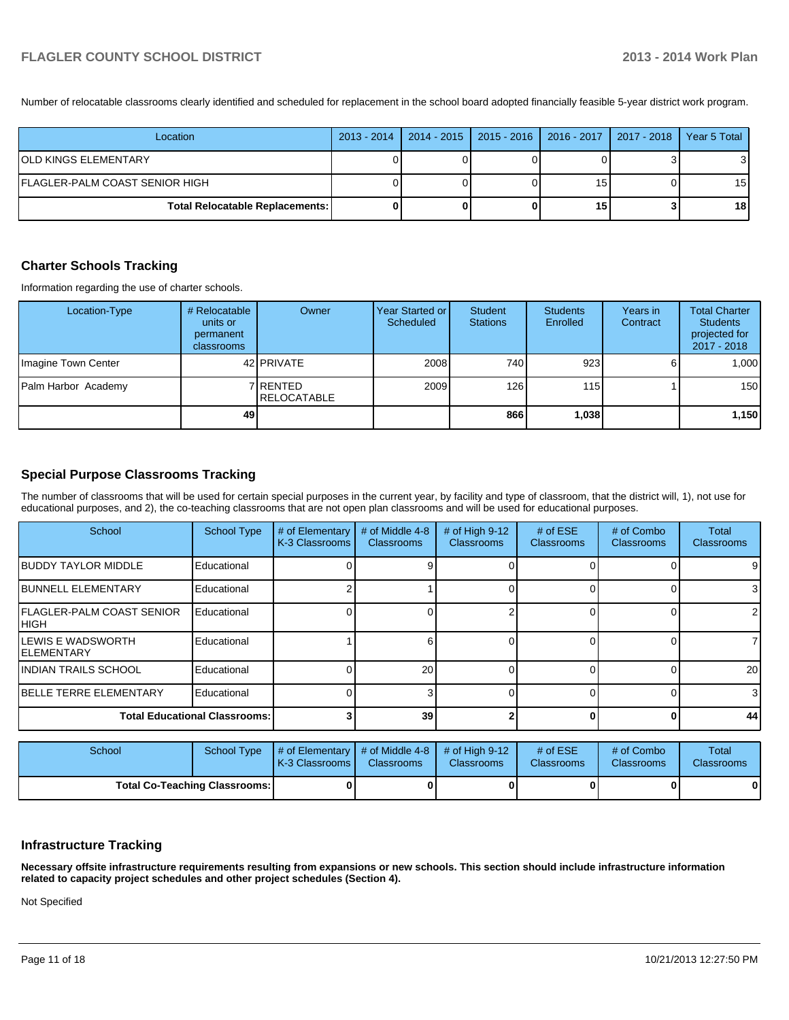Number of relocatable classrooms clearly identified and scheduled for replacement in the school board adopted financially feasible 5-year district work program.

| Location                               | 2013 - 2014   2014 - 2015   2015 - 2016   2016 - 2017   2017 - 2018   Year 5 Total |    |                 |
|----------------------------------------|------------------------------------------------------------------------------------|----|-----------------|
| OLD KINGS ELEMENTARY                   |                                                                                    |    | 31              |
| FLAGLER-PALM COAST SENIOR HIGH         |                                                                                    | 15 | 15 <sub>l</sub> |
| <b>Total Relocatable Replacements:</b> |                                                                                    | 15 | 18 <sup>1</sup> |

### **Charter Schools Tracking**

Information regarding the use of charter schools.

| Location-Type       | # Relocatable<br>units or<br>permanent<br>classrooms | Owner                           | Year Started or I<br>Scheduled | Student<br><b>Stations</b> | <b>Students</b><br>Enrolled | Years in<br>Contract | <b>Total Charter</b><br><b>Students</b><br>projected for<br>2017 - 2018 |
|---------------------|------------------------------------------------------|---------------------------------|--------------------------------|----------------------------|-----------------------------|----------------------|-------------------------------------------------------------------------|
| Imagine Town Center |                                                      | 42 <b>PRIVATE</b>               | 2008                           | 740 l                      | 923                         |                      | 1.000                                                                   |
| Palm Harbor Academy |                                                      | 7 RENTED<br><b>IRELOCATABLE</b> | 2009                           | 126                        | 115 <sup>1</sup>            |                      | 150                                                                     |
|                     | 49                                                   |                                 |                                | 866                        | 1,038                       |                      | 1,150                                                                   |

### **Special Purpose Classrooms Tracking**

The number of classrooms that will be used for certain special purposes in the current year, by facility and type of classroom, that the district will, 1), not use for educational purposes, and 2), the co-teaching classrooms that are not open plan classrooms and will be used for educational purposes.

| School                                          | <b>School Type</b>                   | # of Elementary<br>K-3 Classrooms | # of Middle 4-8<br><b>Classrooms</b> | # of High $9-12$<br><b>Classrooms</b> | # of $ESE$<br><b>Classrooms</b> | # of Combo<br><b>Classrooms</b> | Total<br><b>Classrooms</b> |
|-------------------------------------------------|--------------------------------------|-----------------------------------|--------------------------------------|---------------------------------------|---------------------------------|---------------------------------|----------------------------|
| <b>IBUDDY TAYLOR MIDDLE</b>                     | Educational                          |                                   |                                      |                                       |                                 |                                 | 9                          |
| <b>IBUNNELL ELEMENTARY</b>                      | Educational                          |                                   |                                      |                                       |                                 |                                 | 3                          |
| <b>IFLAGLER-PALM COAST SENIOR</b><br>Ініgн      | Educational                          |                                   |                                      |                                       |                                 | 01                              | $\overline{2}$             |
| <b>ILEWIS E WADSWORTH</b><br><b>IELEMENTARY</b> | Educational                          |                                   |                                      |                                       |                                 |                                 |                            |
| <b>INDIAN TRAILS SCHOOL</b>                     | Educational                          |                                   | 20                                   |                                       |                                 |                                 | 20                         |
| <b>IBELLE TERRE ELEMENTARY</b>                  | Educational                          |                                   |                                      |                                       |                                 |                                 | 3                          |
|                                                 | <b>Total Educational Classrooms:</b> |                                   | 39                                   |                                       |                                 | 0                               | 44                         |

| School                               | School Type | # of Elementary  # of Middle 4-8  # of High 9-12  #<br><b>K-3 Classrooms L</b> | <b>Classrooms</b> | <b>Classrooms</b> | $#$ of ESE<br><b>Classrooms</b> | # of Combo<br><b>Classrooms</b> | Total<br><b>Classrooms</b> |
|--------------------------------------|-------------|--------------------------------------------------------------------------------|-------------------|-------------------|---------------------------------|---------------------------------|----------------------------|
| <b>Total Co-Teaching Classrooms:</b> |             |                                                                                |                   |                   |                                 | 01                              | $\mathbf{0}$               |

### **Infrastructure Tracking**

**Necessary offsite infrastructure requirements resulting from expansions or new schools. This section should include infrastructure information related to capacity project schedules and other project schedules (Section 4).**

Not Specified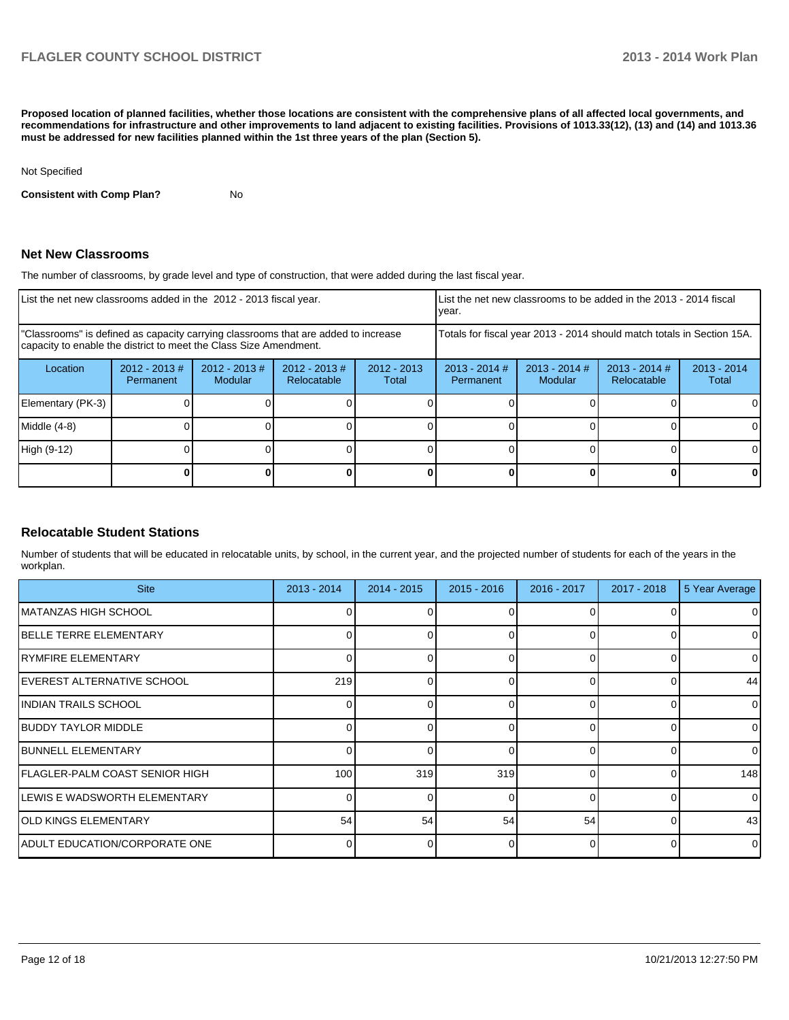**Proposed location of planned facilities, whether those locations are consistent with the comprehensive plans of all affected local governments, and recommendations for infrastructure and other improvements to land adjacent to existing facilities. Provisions of 1013.33(12), (13) and (14) and 1013.36 must be addressed for new facilities planned within the 1st three years of the plan (Section 5).**

Not Specified

**Consistent with Comp Plan?** No

### **Net New Classrooms**

The number of classrooms, by grade level and type of construction, that were added during the last fiscal year.

| List the net new classrooms added in the 2012 - 2013 fiscal year.                                                                                       |                               |                                    |                                 | List the net new classrooms to be added in the 2013 - 2014 fiscal<br>lvear. |                              |                                   |                                |                        |
|---------------------------------------------------------------------------------------------------------------------------------------------------------|-------------------------------|------------------------------------|---------------------------------|-----------------------------------------------------------------------------|------------------------------|-----------------------------------|--------------------------------|------------------------|
| "Classrooms" is defined as capacity carrying classrooms that are added to increase<br>capacity to enable the district to meet the Class Size Amendment. |                               |                                    |                                 | Totals for fiscal year 2013 - 2014 should match totals in Section 15A.      |                              |                                   |                                |                        |
| Location                                                                                                                                                | $2012 - 2013 \#$<br>Permanent | $2012 - 2013 \#$<br><b>Modular</b> | $2012 - 2013 \#$<br>Relocatable | $2012 - 2013$<br>Total                                                      | $2013 - 2014$ #<br>Permanent | $2013 - 2014$ #<br><b>Modular</b> | $2013 - 2014$ #<br>Relocatable | $2013 - 2014$<br>Total |
| Elementary (PK-3)                                                                                                                                       |                               |                                    |                                 |                                                                             |                              |                                   |                                |                        |
| Middle (4-8)                                                                                                                                            |                               |                                    |                                 |                                                                             |                              |                                   |                                | 0                      |
| High (9-12)                                                                                                                                             |                               |                                    |                                 |                                                                             |                              |                                   |                                | 0                      |
|                                                                                                                                                         |                               |                                    |                                 |                                                                             |                              |                                   |                                | 0                      |

### **Relocatable Student Stations**

Number of students that will be educated in relocatable units, by school, in the current year, and the projected number of students for each of the years in the workplan.

| <b>Site</b>                    | 2013 - 2014 | 2014 - 2015 | $2015 - 2016$ | 2016 - 2017 | 2017 - 2018 | 5 Year Average |
|--------------------------------|-------------|-------------|---------------|-------------|-------------|----------------|
| IMATANZAS HIGH SCHOOL          |             |             |               | ∩           |             | $\overline{0}$ |
| <b>IBELLE TERRE ELEMENTARY</b> |             |             | ∩             |             |             | 0              |
| RYMFIRE ELEMENTARY             |             |             |               |             |             | $\overline{0}$ |
| IEVEREST ALTERNATIVE SCHOOL    | 219         |             |               | $\Omega$    |             | 44             |
| IINDIAN TRAILS SCHOOL          |             |             | <sup>0</sup>  | $\Omega$    |             | $\overline{0}$ |
| <b>BUDDY TAYLOR MIDDLE</b>     |             |             |               | $\Omega$    |             | $\overline{0}$ |
| <b>IBUNNELL ELEMENTARY</b>     |             |             | $\Omega$      | $\Omega$    |             | $\Omega$       |
| FLAGLER-PALM COAST SENIOR HIGH | 100         | 319         | 319           | $\Omega$    |             | 148            |
| LEWIS E WADSWORTH ELEMENTARY   |             |             | $\Omega$      | $\Omega$    |             | $\overline{0}$ |
| <b>OLD KINGS ELEMENTARY</b>    | 54          | 54          | 54            | 54          |             | 43             |
| ADULT EDUCATION/CORPORATE ONE  |             |             |               | $\Omega$    |             | $\Omega$       |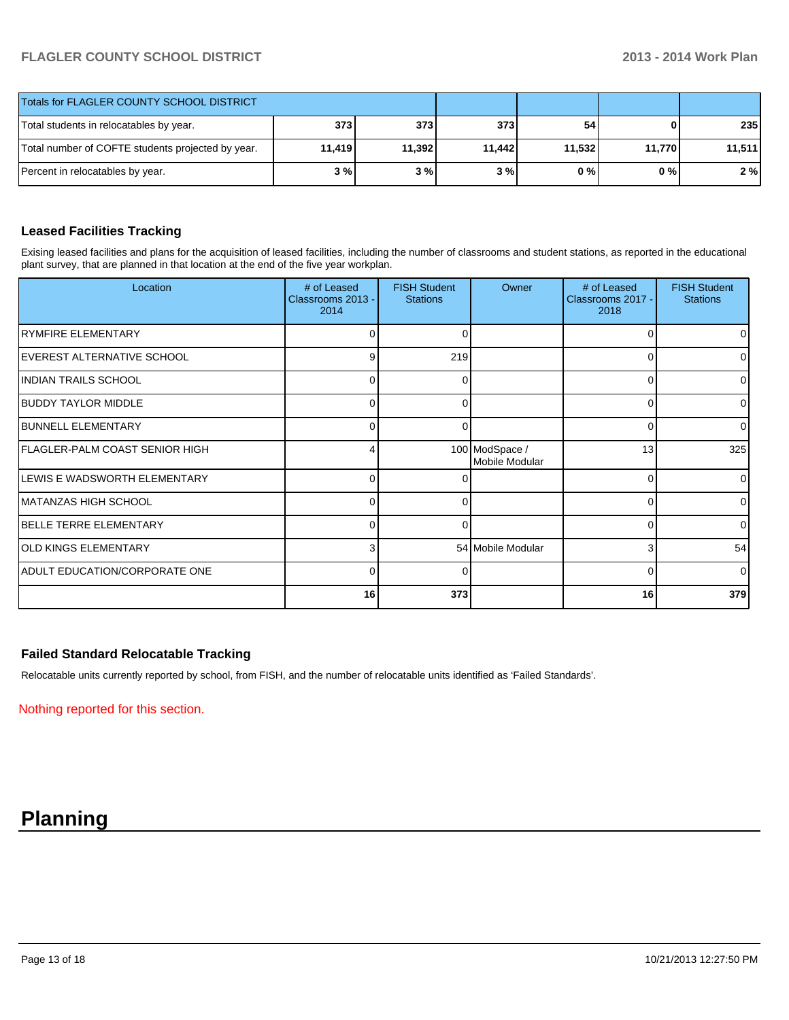| Totals for FLAGLER COUNTY SCHOOL DISTRICT         |        |        |        |        |        |        |
|---------------------------------------------------|--------|--------|--------|--------|--------|--------|
| Total students in relocatables by year.           | 373    | 373 l  | 373    | 54     | 0      | 235    |
| Total number of COFTE students projected by year. | 11,419 | 11,392 | 11.442 | 11,532 | 11,770 | 11,511 |
| Percent in relocatables by year.                  | 3 % I  | 3%     | 3%     | 0 % I  | 0 % I  | 2%     |

### **Leased Facilities Tracking**

Exising leased facilities and plans for the acquisition of leased facilities, including the number of classrooms and student stations, as reported in the educational plant survey, that are planned in that location at the end of the five year workplan.

| Location                           | # of Leased<br>Classrooms 2013 -<br>2014 | <b>FISH Student</b><br><b>Stations</b> | Owner                            | # of Leased<br>Classrooms 2017 -<br>2018 | <b>FISH Student</b><br><b>Stations</b> |
|------------------------------------|------------------------------------------|----------------------------------------|----------------------------------|------------------------------------------|----------------------------------------|
| <b>IRYMFIRE ELEMENTARY</b>         | 0                                        | 0                                      |                                  | 0                                        | $\overline{0}$                         |
| <b>IEVEREST ALTERNATIVE SCHOOL</b> | 9                                        | 219                                    |                                  | $\Omega$                                 | $\overline{0}$                         |
| INDIAN TRAILS SCHOOL               | U                                        | ∩                                      |                                  | 0                                        | $\overline{0}$                         |
| <b>BUDDY TAYLOR MIDDLE</b>         | $\Omega$                                 | 0                                      |                                  | 0                                        | $\overline{0}$                         |
| <b>BUNNELL ELEMENTARY</b>          | $\Omega$                                 |                                        |                                  | 0                                        | 0                                      |
| IFLAGLER-PALM COAST SENIOR HIGH    |                                          |                                        | 100 ModSpace /<br>Mobile Modular | 13                                       | 325                                    |
| LEWIS E WADSWORTH ELEMENTARY       | ⋂                                        |                                        |                                  | $\Omega$                                 | $\Omega$                               |
| IMATANZAS HIGH SCHOOL              | $\Omega$                                 | 0                                      |                                  | 0                                        | $\overline{0}$                         |
| <b>IBELLE TERRE ELEMENTARY</b>     | 0                                        |                                        |                                  | 0                                        | $\overline{0}$                         |
| <b>OLD KINGS ELEMENTARY</b>        | 3                                        |                                        | 54 Mobile Modular                | 3                                        | 54                                     |
| ADULT EDUCATION/CORPORATE ONE      | $\Omega$                                 | 0                                      |                                  | $\Omega$                                 | $\Omega$                               |
|                                    | 16                                       | 373                                    |                                  | 16                                       | 379                                    |

### **Failed Standard Relocatable Tracking**

Relocatable units currently reported by school, from FISH, and the number of relocatable units identified as 'Failed Standards'.

Nothing reported for this section.

# **Planning**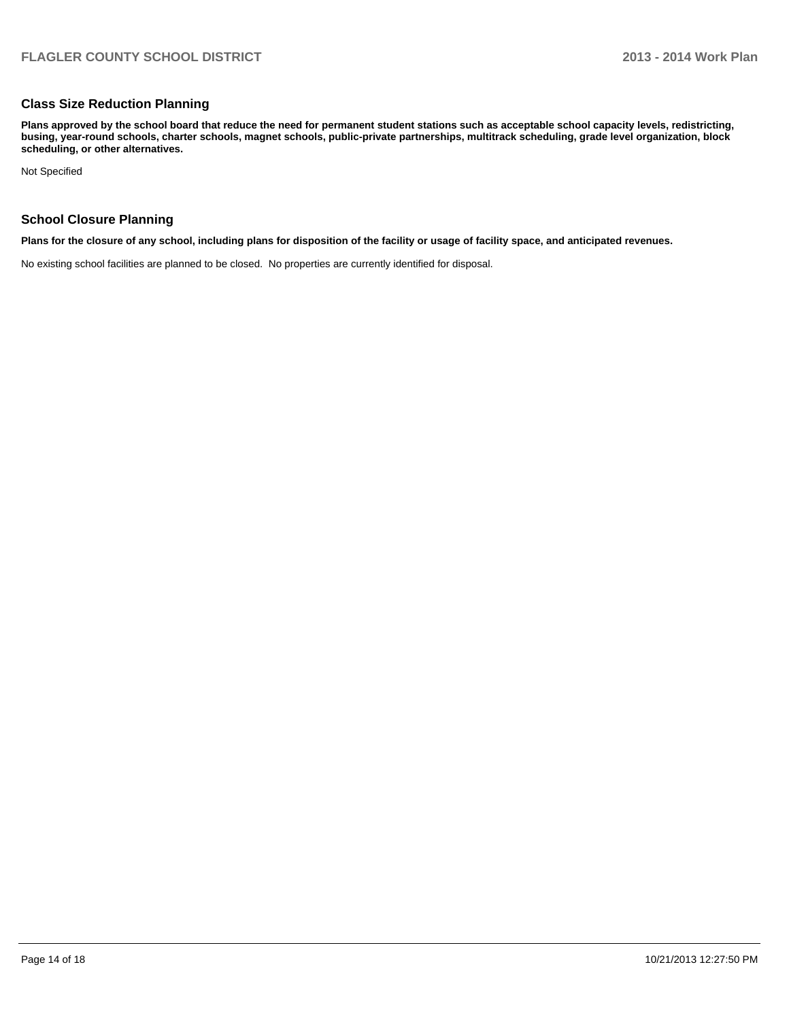### **Class Size Reduction Planning**

**Plans approved by the school board that reduce the need for permanent student stations such as acceptable school capacity levels, redistricting, busing, year-round schools, charter schools, magnet schools, public-private partnerships, multitrack scheduling, grade level organization, block scheduling, or other alternatives.**

Not Specified

### **School Closure Planning**

**Plans for the closure of any school, including plans for disposition of the facility or usage of facility space, and anticipated revenues.**

No existing school facilities are planned to be closed. No properties are currently identified for disposal.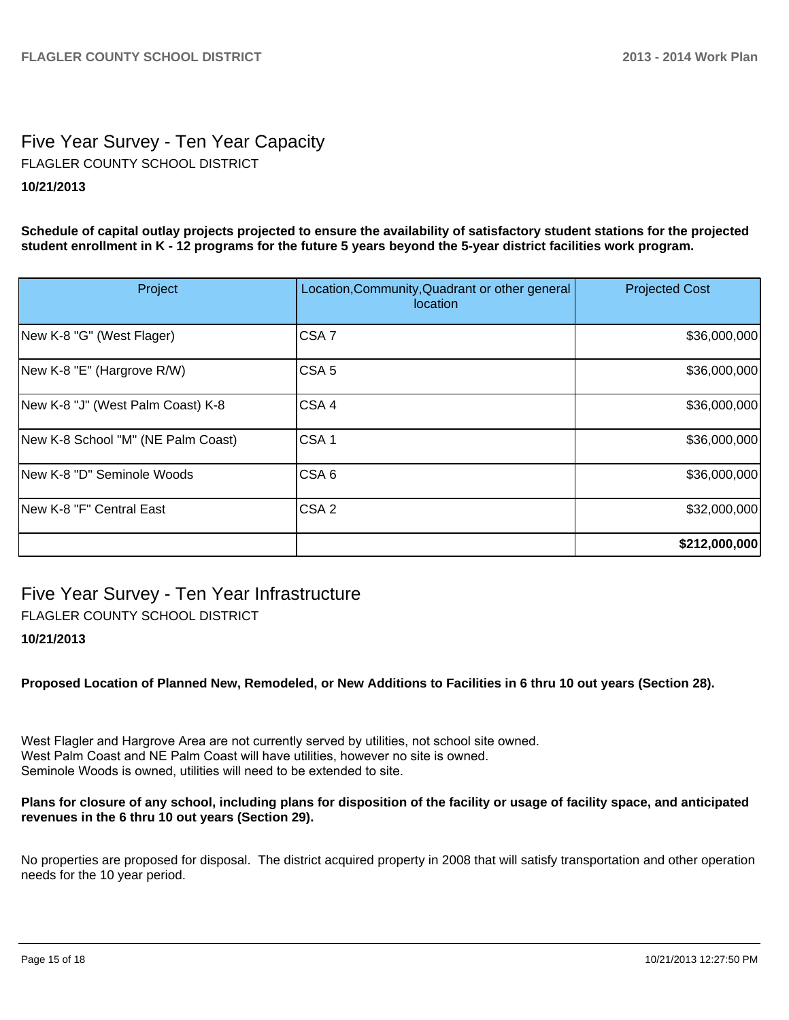# Five Year Survey - Ten Year Capacity **10/21/2013** FLAGLER COUNTY SCHOOL DISTRICT

**Schedule of capital outlay projects projected to ensure the availability of satisfactory student stations for the projected student enrollment in K - 12 programs for the future 5 years beyond the 5-year district facilities work program.**

| Project                            | Location, Community, Quadrant or other general<br>location | <b>Projected Cost</b> |
|------------------------------------|------------------------------------------------------------|-----------------------|
| New K-8 "G" (West Flager)          | CSA <sub>7</sub>                                           | \$36,000,000          |
| New K-8 "E" (Hargrove R/W)         | CSA <sub>5</sub>                                           | \$36,000,000          |
| New K-8 "J" (West Palm Coast) K-8  | CSA4                                                       | \$36,000,000          |
| New K-8 School "M" (NE Palm Coast) | CSA <sub>1</sub>                                           | \$36,000,000          |
| New K-8 "D" Seminole Woods         | CSA <sub>6</sub>                                           | \$36,000,000          |
| New K-8 "F" Central East           | CSA <sub>2</sub>                                           | \$32,000,000          |
|                                    |                                                            | \$212,000,000         |

# Five Year Survey - Ten Year Infrastructure

FLAGLER COUNTY SCHOOL DISTRICT

### **10/21/2013**

**Proposed Location of Planned New, Remodeled, or New Additions to Facilities in 6 thru 10 out years (Section 28).**

West Flagler and Hargrove Area are not currently served by utilities, not school site owned. West Palm Coast and NE Palm Coast will have utilities, however no site is owned. Seminole Woods is owned, utilities will need to be extended to site.

### **Plans for closure of any school, including plans for disposition of the facility or usage of facility space, and anticipated revenues in the 6 thru 10 out years (Section 29).**

No properties are proposed for disposal. The district acquired property in 2008 that will satisfy transportation and other operation needs for the 10 year period.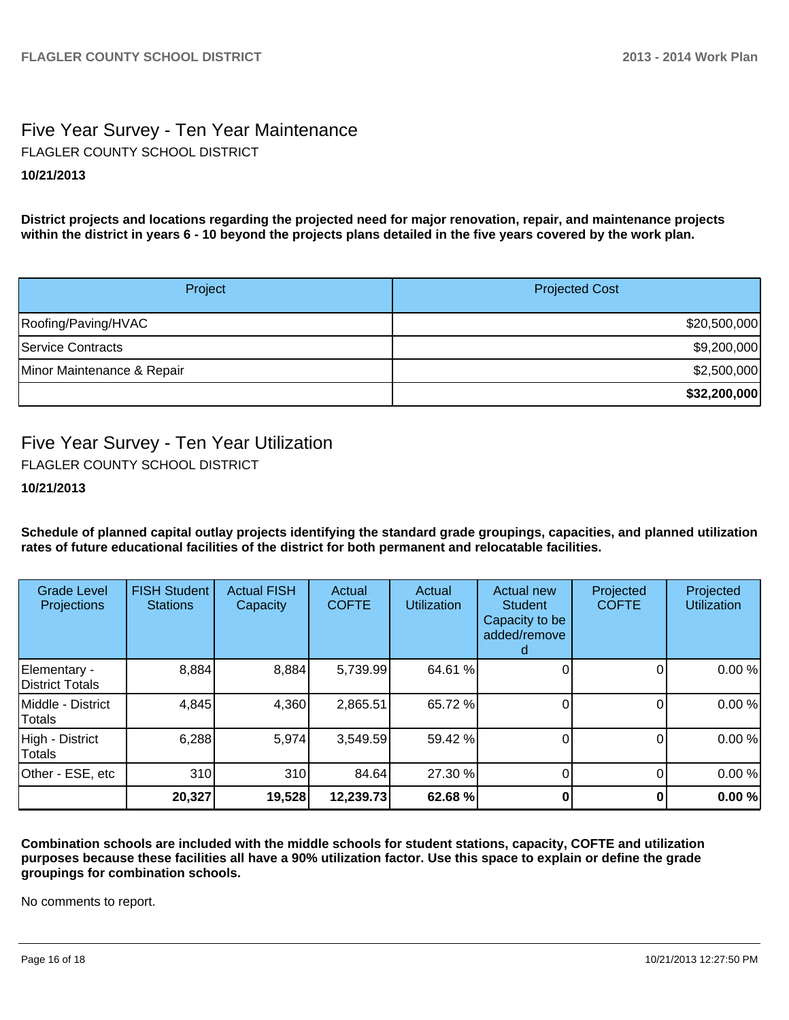# Five Year Survey - Ten Year Maintenance **10/21/2013** FLAGLER COUNTY SCHOOL DISTRICT

**District projects and locations regarding the projected need for major renovation, repair, and maintenance projects within the district in years 6 - 10 beyond the projects plans detailed in the five years covered by the work plan.**

| Project                    | <b>Projected Cost</b> |
|----------------------------|-----------------------|
| Roofing/Paving/HVAC        | \$20,500,000          |
| Service Contracts          | \$9,200,000           |
| Minor Maintenance & Repair | \$2,500,000           |
|                            | \$32,200,000          |

# Five Year Survey - Ten Year Utilization

FLAGLER COUNTY SCHOOL DISTRICT

**10/21/2013**

**Schedule of planned capital outlay projects identifying the standard grade groupings, capacities, and planned utilization rates of future educational facilities of the district for both permanent and relocatable facilities.**

| <b>Grade Level</b><br>Projections  | <b>FISH Student</b><br><b>Stations</b> | <b>Actual FISH</b><br>Capacity | Actual<br><b>COFTE</b> | Actual<br><b>Utilization</b> | <b>Actual new</b><br><b>Student</b><br>Capacity to be<br>added/remove | Projected<br><b>COFTE</b> | Projected<br><b>Utilization</b> |
|------------------------------------|----------------------------------------|--------------------------------|------------------------|------------------------------|-----------------------------------------------------------------------|---------------------------|---------------------------------|
| Elementary -<br>District Totals    | 8,884                                  | 8,884                          | 5,739.99               | 64.61 %                      |                                                                       |                           | 0.00%                           |
| Middle - District<br><b>Totals</b> | 4,845                                  | 4,360                          | 2,865.51               | 65.72 %                      |                                                                       |                           | 0.00%                           |
| High - District<br>Totals          | 6,288                                  | 5,974                          | 3,549.59               | 59.42 %                      |                                                                       | 0                         | 0.00%                           |
| Other - ESE, etc                   | 310                                    | 310                            | 84.64                  | 27.30 %                      |                                                                       |                           | 0.00%                           |
|                                    | 20,327                                 | 19,528                         | 12,239.73              | 62.68 %                      |                                                                       |                           | 0.00%                           |

**Combination schools are included with the middle schools for student stations, capacity, COFTE and utilization purposes because these facilities all have a 90% utilization factor. Use this space to explain or define the grade groupings for combination schools.**

No comments to report.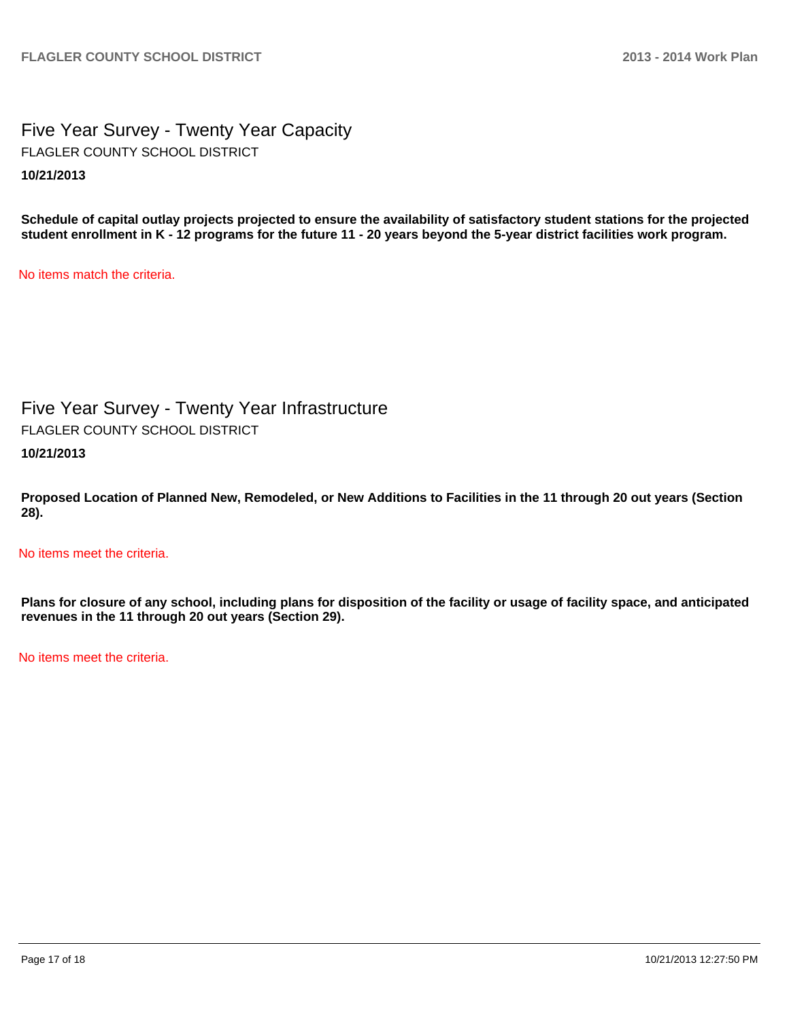Five Year Survey - Twenty Year Capacity **10/21/2013** FLAGLER COUNTY SCHOOL DISTRICT

**Schedule of capital outlay projects projected to ensure the availability of satisfactory student stations for the projected student enrollment in K - 12 programs for the future 11 - 20 years beyond the 5-year district facilities work program.**

No items match the criteria.

Five Year Survey - Twenty Year Infrastructure **10/21/2013** FLAGLER COUNTY SCHOOL DISTRICT

**Proposed Location of Planned New, Remodeled, or New Additions to Facilities in the 11 through 20 out years (Section 28).**

No items meet the criteria.

**Plans for closure of any school, including plans for disposition of the facility or usage of facility space, and anticipated revenues in the 11 through 20 out years (Section 29).**

No items meet the criteria.